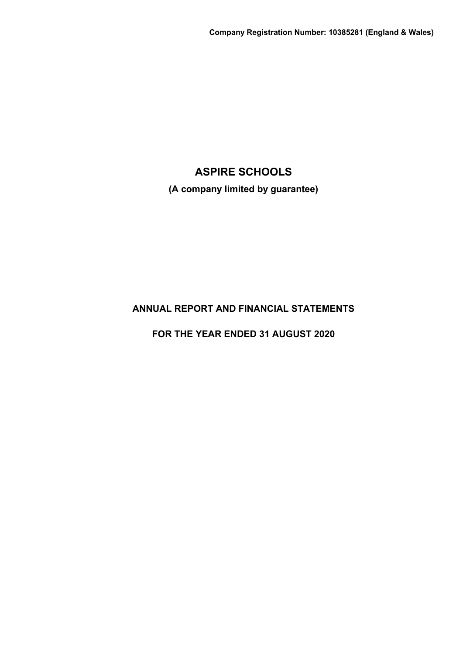**(A company limited by guarantee)**

# **ANNUAL REPORT AND FINANCIAL STATEMENTS**

**FOR THE YEAR ENDED 31 AUGUST 2020**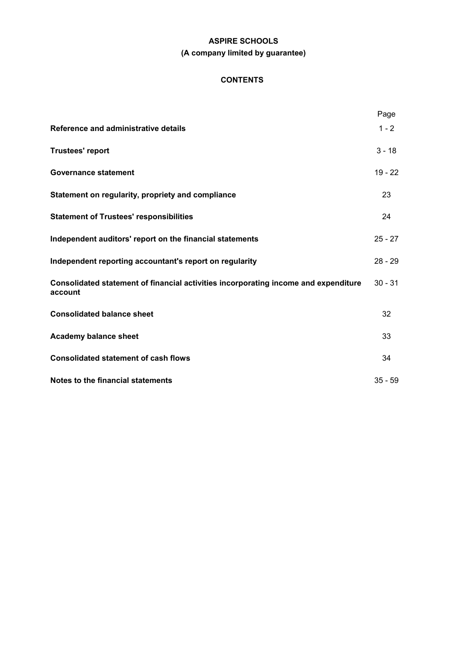# **ASPIRE SCHOOLS (A company limited by guarantee)**

# **CONTENTS**

|                                                                                                | Page      |
|------------------------------------------------------------------------------------------------|-----------|
| Reference and administrative details                                                           | $1 - 2$   |
| <b>Trustees' report</b>                                                                        | $3 - 18$  |
| <b>Governance statement</b>                                                                    | $19 - 22$ |
| Statement on regularity, propriety and compliance                                              | 23        |
| <b>Statement of Trustees' responsibilities</b>                                                 | 24        |
| Independent auditors' report on the financial statements                                       | $25 - 27$ |
| Independent reporting accountant's report on regularity                                        | $28 - 29$ |
| Consolidated statement of financial activities incorporating income and expenditure<br>account | $30 - 31$ |
| <b>Consolidated balance sheet</b>                                                              | 32        |
| <b>Academy balance sheet</b>                                                                   | 33        |
| <b>Consolidated statement of cash flows</b>                                                    | 34        |
| Notes to the financial statements                                                              | $35 - 59$ |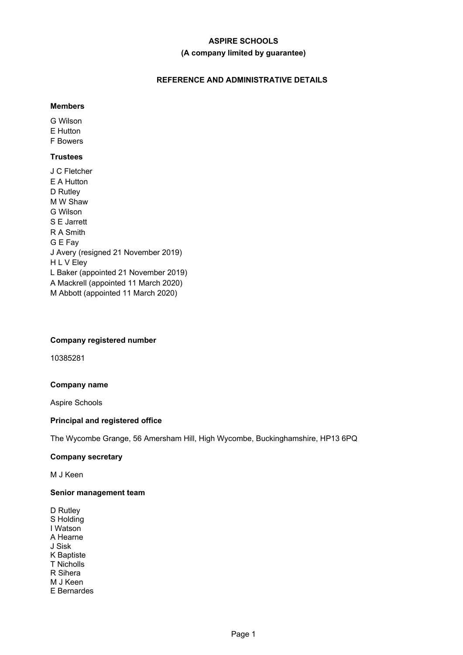# **ASPIRE SCHOOLS (A company limited by guarantee)**

# **REFERENCE AND ADMINISTRATIVE DETAILS**

# **Members**

G Wilson E Hutton F Bowers

# **Trustees**

J C Fletcher E A Hutton D Rutley M W Shaw G Wilson S E Jarrett R A Smith G E Fay J Avery (resigned 21 November 2019) H L V Eley L Baker (appointed 21 November 2019) A Mackrell (appointed 11 March 2020) M Abbott (appointed 11 March 2020)

# **Company registered number**

10385281

# **Company name**

Aspire Schools

# **Principal and registered office**

The Wycombe Grange, 56 Amersham Hill, High Wycombe, Buckinghamshire, HP13 6PQ

# **Company secretary**

M J Keen

# **Senior management team**

D Rutley S Holding I Watson A Hearne J Sisk K Baptiste T Nicholls R Sihera M J Keen E Bernardes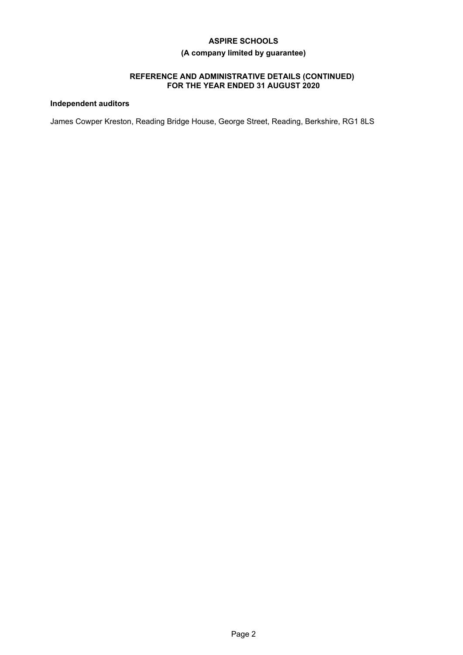# **(A company limited by guarantee)**

### **REFERENCE AND ADMINISTRATIVE DETAILS (CONTINUED) FOR THE YEAR ENDED 31 AUGUST 2020**

# **Independent auditors**

James Cowper Kreston, Reading Bridge House, George Street, Reading, Berkshire, RG1 8LS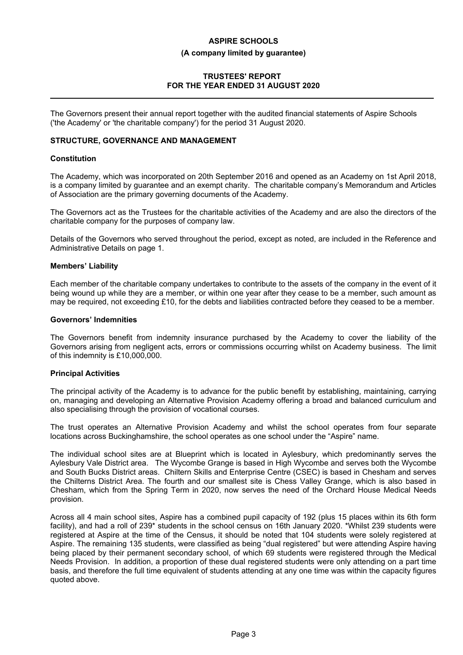# **ASPIRE SCHOOLS (A company limited by guarantee)**

# **TRUSTEES' REPORT FOR THE YEAR ENDED 31 AUGUST 2020**

The Governors present their annual report together with the audited financial statements of Aspire Schools ('the Academy' or 'the charitable company') for the period 31 August 2020.

#### **STRUCTURE, GOVERNANCE AND MANAGEMENT**

#### **Constitution**

The Academy, which was incorporated on 20th September 2016 and opened as an Academy on 1st April 2018, is a company limited by guarantee and an exempt charity. The charitable company's Memorandum and Articles of Association are the primary governing documents of the Academy.

The Governors act as the Trustees for the charitable activities of the Academy and are also the directors of the charitable company for the purposes of company law.

Details of the Governors who served throughout the period, except as noted, are included in the Reference and Administrative Details on page 1.

#### **Members' Liability**

Each member of the charitable company undertakes to contribute to the assets of the company in the event of it being wound up while they are a member, or within one year after they cease to be a member, such amount as may be required, not exceeding £10, for the debts and liabilities contracted before they ceased to be a member.

#### **Governors' Indemnities**

The Governors benefit from indemnity insurance purchased by the Academy to cover the liability of the Governors arising from negligent acts, errors or commissions occurring whilst on Academy business. The limit of this indemnity is £10,000,000.

#### **Principal Activities**

The principal activity of the Academy is to advance for the public benefit by establishing, maintaining, carrying on, managing and developing an Alternative Provision Academy offering a broad and balanced curriculum and also specialising through the provision of vocational courses.

The trust operates an Alternative Provision Academy and whilst the school operates from four separate locations across Buckinghamshire, the school operates as one school under the "Aspire" name.

The individual school sites are at Blueprint which is located in Aylesbury, which predominantly serves the Aylesbury Vale District area. The Wycombe Grange is based in High Wycombe and serves both the Wycombe and South Bucks District areas. Chiltern Skills and Enterprise Centre (CSEC) is based in Chesham and serves the Chilterns District Area. The fourth and our smallest site is Chess Valley Grange, which is also based in Chesham, which from the Spring Term in 2020, now serves the need of the Orchard House Medical Needs provision.

Across all 4 main school sites, Aspire has a combined pupil capacity of 192 (plus 15 places within its 6th form facility), and had a roll of 239\* students in the school census on 16th January 2020. \*Whilst 239 students were registered at Aspire at the time of the Census, it should be noted that 104 students were solely registered at Aspire. The remaining 135 students, were classified as being "dual registered" but were attending Aspire having being placed by their permanent secondary school, of which 69 students were registered through the Medical Needs Provision. In addition, a proportion of these dual registered students were only attending on a part time basis, and therefore the full time equivalent of students attending at any one time was within the capacity figures quoted above.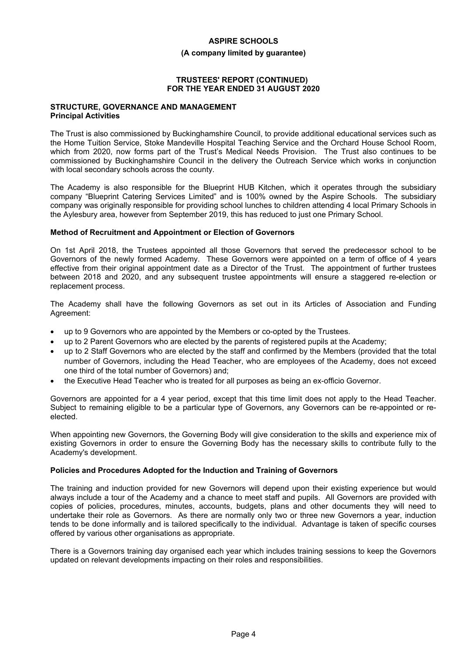#### **(A company limited by guarantee)**

### **TRUSTEES' REPORT (CONTINUED) FOR THE YEAR ENDED 31 AUGUST 2020**

#### **STRUCTURE, GOVERNANCE AND MANAGEMENT Principal Activities**

The Trust is also commissioned by Buckinghamshire Council, to provide additional educational services such as the Home Tuition Service, Stoke Mandeville Hospital Teaching Service and the Orchard House School Room, which from 2020, now forms part of the Trust's Medical Needs Provision. The Trust also continues to be commissioned by Buckinghamshire Council in the delivery the Outreach Service which works in conjunction with local secondary schools across the county.

The Academy is also responsible for the Blueprint HUB Kitchen, which it operates through the subsidiary company "Blueprint Catering Services Limited" and is 100% owned by the Aspire Schools. The subsidiary company was originally responsible for providing school lunches to children attending 4 local Primary Schools in the Aylesbury area, however from September 2019, this has reduced to just one Primary School.

### **Method of Recruitment and Appointment or Election of Governors**

On 1st April 2018, the Trustees appointed all those Governors that served the predecessor school to be Governors of the newly formed Academy. These Governors were appointed on a term of office of 4 years effective from their original appointment date as a Director of the Trust. The appointment of further trustees between 2018 and 2020, and any subsequent trustee appointments will ensure a staggered re-election or replacement process.

The Academy shall have the following Governors as set out in its Articles of Association and Funding Agreement:

- up to 9 Governors who are appointed by the Members or co-opted by the Trustees.
- up to 2 Parent Governors who are elected by the parents of registered pupils at the Academy;
- up to 2 Staff Governors who are elected by the staff and confirmed by the Members (provided that the total number of Governors, including the Head Teacher, who are employees of the Academy, does not exceed one third of the total number of Governors) and;
- the Executive Head Teacher who is treated for all purposes as being an ex-officio Governor.

Governors are appointed for a 4 year period, except that this time limit does not apply to the Head Teacher. Subject to remaining eligible to be a particular type of Governors, any Governors can be re-appointed or reelected.

When appointing new Governors, the Governing Body will give consideration to the skills and experience mix of existing Governors in order to ensure the Governing Body has the necessary skills to contribute fully to the Academy's development.

# **Policies and Procedures Adopted for the Induction and Training of Governors**

The training and induction provided for new Governors will depend upon their existing experience but would always include a tour of the Academy and a chance to meet staff and pupils. All Governors are provided with copies of policies, procedures, minutes, accounts, budgets, plans and other documents they will need to undertake their role as Governors. As there are normally only two or three new Governors a year, induction tends to be done informally and is tailored specifically to the individual. Advantage is taken of specific courses offered by various other organisations as appropriate.

There is a Governors training day organised each year which includes training sessions to keep the Governors updated on relevant developments impacting on their roles and responsibilities.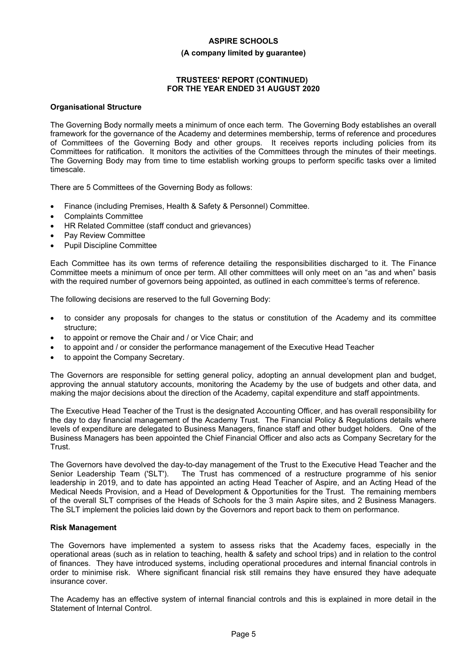#### **(A company limited by guarantee)**

# **TRUSTEES' REPORT (CONTINUED) FOR THE YEAR ENDED 31 AUGUST 2020**

#### **Organisational Structure**

The Governing Body normally meets a minimum of once each term. The Governing Body establishes an overall framework for the governance of the Academy and determines membership, terms of reference and procedures of Committees of the Governing Body and other groups. It receives reports including policies from its Committees for ratification. It monitors the activities of the Committees through the minutes of their meetings. The Governing Body may from time to time establish working groups to perform specific tasks over a limited timescale.

There are 5 Committees of the Governing Body as follows:

- Finance (including Premises, Health & Safety & Personnel) Committee.
- Complaints Committee
- HR Related Committee (staff conduct and grievances)
- Pay Review Committee
- Pupil Discipline Committee

Each Committee has its own terms of reference detailing the responsibilities discharged to it. The Finance Committee meets a minimum of once per term. All other committees will only meet on an "as and when" basis with the required number of governors being appointed, as outlined in each committee's terms of reference.

The following decisions are reserved to the full Governing Body:

- to consider any proposals for changes to the status or constitution of the Academy and its committee structure;
- to appoint or remove the Chair and / or Vice Chair; and
- to appoint and / or consider the performance management of the Executive Head Teacher
- to appoint the Company Secretary.

The Governors are responsible for setting general policy, adopting an annual development plan and budget, approving the annual statutory accounts, monitoring the Academy by the use of budgets and other data, and making the major decisions about the direction of the Academy, capital expenditure and staff appointments.

The Executive Head Teacher of the Trust is the designated Accounting Officer, and has overall responsibility for the day to day financial management of the Academy Trust. The Financial Policy & Regulations details where levels of expenditure are delegated to Business Managers, finance staff and other budget holders. One of the Business Managers has been appointed the Chief Financial Officer and also acts as Company Secretary for the Trust.

The Governors have devolved the day-to-day management of the Trust to the Executive Head Teacher and the Senior Leadership Team ('SLT'). The Trust has commenced of a restructure programme of his senior leadership in 2019, and to date has appointed an acting Head Teacher of Aspire, and an Acting Head of the Medical Needs Provision, and a Head of Development & Opportunities for the Trust. The remaining members of the overall SLT comprises of the Heads of Schools for the 3 main Aspire sites, and 2 Business Managers. The SLT implement the policies laid down by the Governors and report back to them on performance.

#### **Risk Management**

The Governors have implemented a system to assess risks that the Academy faces, especially in the operational areas (such as in relation to teaching, health & safety and school trips) and in relation to the control of finances. They have introduced systems, including operational procedures and internal financial controls in order to minimise risk. Where significant financial risk still remains they have ensured they have adequate insurance cover.

The Academy has an effective system of internal financial controls and this is explained in more detail in the Statement of Internal Control.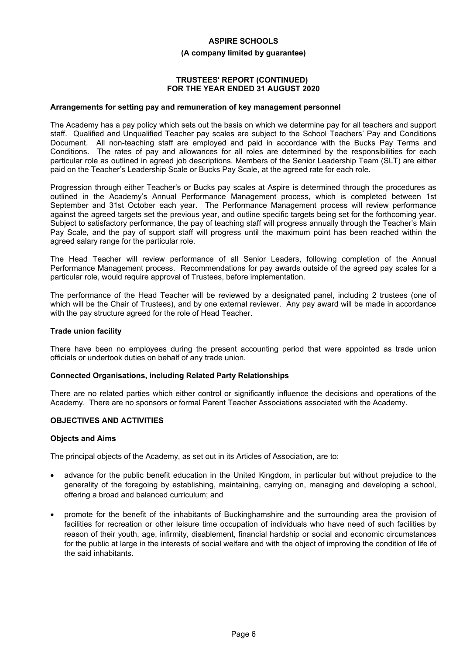#### **(A company limited by guarantee)**

#### **TRUSTEES' REPORT (CONTINUED) FOR THE YEAR ENDED 31 AUGUST 2020**

#### **Arrangements for setting pay and remuneration of key management personnel**

The Academy has a pay policy which sets out the basis on which we determine pay for all teachers and support staff. Qualified and Unqualified Teacher pay scales are subject to the School Teachers' Pay and Conditions Document. All non-teaching staff are employed and paid in accordance with the Bucks Pay Terms and Conditions. The rates of pay and allowances for all roles are determined by the responsibilities for each particular role as outlined in agreed job descriptions. Members of the Senior Leadership Team (SLT) are either paid on the Teacher's Leadership Scale or Bucks Pay Scale, at the agreed rate for each role.

Progression through either Teacher's or Bucks pay scales at Aspire is determined through the procedures as outlined in the Academy's Annual Performance Management process, which is completed between 1st September and 31st October each year. The Performance Management process will review performance against the agreed targets set the previous year, and outline specific targets being set for the forthcoming year. Subject to satisfactory performance, the pay of teaching staff will progress annually through the Teacher's Main Pay Scale, and the pay of support staff will progress until the maximum point has been reached within the agreed salary range for the particular role.

The Head Teacher will review performance of all Senior Leaders, following completion of the Annual Performance Management process. Recommendations for pay awards outside of the agreed pay scales for a particular role, would require approval of Trustees, before implementation.

The performance of the Head Teacher will be reviewed by a designated panel, including 2 trustees (one of which will be the Chair of Trustees), and by one external reviewer. Any pay award will be made in accordance with the pay structure agreed for the role of Head Teacher.

#### **Trade union facility**

There have been no employees during the present accounting period that were appointed as trade union officials or undertook duties on behalf of any trade union.

#### **Connected Organisations, including Related Party Relationships**

There are no related parties which either control or significantly influence the decisions and operations of the Academy. There are no sponsors or formal Parent Teacher Associations associated with the Academy.

#### **OBJECTIVES AND ACTIVITIES**

#### **Objects and Aims**

The principal objects of the Academy, as set out in its Articles of Association, are to:

- advance for the public benefit education in the United Kingdom, in particular but without prejudice to the generality of the foregoing by establishing, maintaining, carrying on, managing and developing a school, offering a broad and balanced curriculum; and
- promote for the benefit of the inhabitants of Buckinghamshire and the surrounding area the provision of facilities for recreation or other leisure time occupation of individuals who have need of such facilities by reason of their youth, age, infirmity, disablement, financial hardship or social and economic circumstances for the public at large in the interests of social welfare and with the object of improving the condition of life of the said inhabitants.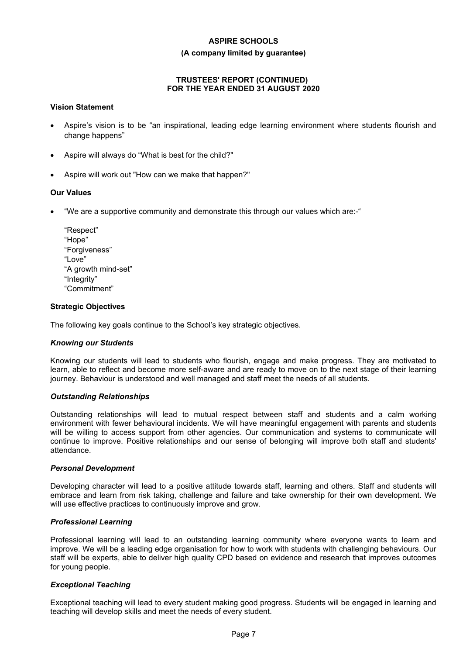#### **(A company limited by guarantee)**

# **TRUSTEES' REPORT (CONTINUED) FOR THE YEAR ENDED 31 AUGUST 2020**

#### **Vision Statement**

- Aspire's vision is to be "an inspirational, leading edge learning environment where students flourish and change happens"
- Aspire will always do "What is best for the child?"
- Aspire will work out "How can we make that happen?"

#### **Our Values**

- "We are a supportive community and demonstrate this through our values which are:-"
	- "Respect" "Hope" "Forgiveness" "Love" "A growth mind-set" "Integrity" "Commitment"

#### **Strategic Objectives**

The following key goals continue to the School's key strategic objectives.

#### *Knowing our Students*

Knowing our students will lead to students who flourish, engage and make progress. They are motivated to learn, able to reflect and become more self-aware and are ready to move on to the next stage of their learning journey. Behaviour is understood and well managed and staff meet the needs of all students.

#### *Outstanding Relationships*

Outstanding relationships will lead to mutual respect between staff and students and a calm working environment with fewer behavioural incidents. We will have meaningful engagement with parents and students will be willing to access support from other agencies. Our communication and systems to communicate will continue to improve. Positive relationships and our sense of belonging will improve both staff and students' attendance.

#### *Personal Development*

Developing character will lead to a positive attitude towards staff, learning and others. Staff and students will embrace and learn from risk taking, challenge and failure and take ownership for their own development. We will use effective practices to continuously improve and grow.

#### *Professional Learning*

Professional learning will lead to an outstanding learning community where everyone wants to learn and improve. We will be a leading edge organisation for how to work with students with challenging behaviours. Our staff will be experts, able to deliver high quality CPD based on evidence and research that improves outcomes for young people.

#### *Exceptional Teaching*

Exceptional teaching will lead to every student making good progress. Students will be engaged in learning and teaching will develop skills and meet the needs of every student.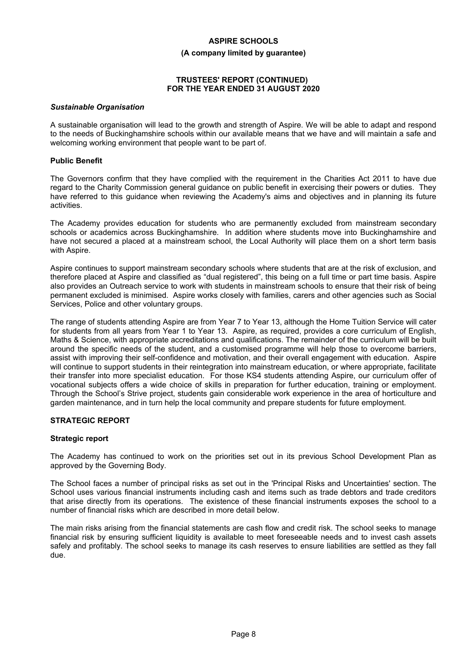#### **(A company limited by guarantee)**

### **TRUSTEES' REPORT (CONTINUED) FOR THE YEAR ENDED 31 AUGUST 2020**

#### *Sustainable Organisation*

A sustainable organisation will lead to the growth and strength of Aspire. We will be able to adapt and respond to the needs of Buckinghamshire schools within our available means that we have and will maintain a safe and welcoming working environment that people want to be part of.

#### **Public Benefit**

The Governors confirm that they have complied with the requirement in the Charities Act 2011 to have due regard to the Charity Commission general guidance on public benefit in exercising their powers or duties. They have referred to this guidance when reviewing the Academy's aims and objectives and in planning its future activities.

The Academy provides education for students who are permanently excluded from mainstream secondary schools or academics across Buckinghamshire. In addition where students move into Buckinghamshire and have not secured a placed at a mainstream school, the Local Authority will place them on a short term basis with Aspire.

Aspire continues to support mainstream secondary schools where students that are at the risk of exclusion, and therefore placed at Aspire and classified as "dual registered", this being on a full time or part time basis. Aspire also provides an Outreach service to work with students in mainstream schools to ensure that their risk of being permanent excluded is minimised. Aspire works closely with families, carers and other agencies such as Social Services, Police and other voluntary groups.

The range of students attending Aspire are from Year 7 to Year 13, although the Home Tuition Service will cater for students from all years from Year 1 to Year 13. Aspire, as required, provides a core curriculum of English, Maths & Science, with appropriate accreditations and qualifications. The remainder of the curriculum will be built around the specific needs of the student, and a customised programme will help those to overcome barriers, assist with improving their self-confidence and motivation, and their overall engagement with education. Aspire will continue to support students in their reintegration into mainstream education, or where appropriate, facilitate their transfer into more specialist education. For those KS4 students attending Aspire, our curriculum offer of vocational subjects offers a wide choice of skills in preparation for further education, training or employment. Through the School's Strive project, students gain considerable work experience in the area of horticulture and garden maintenance, and in turn help the local community and prepare students for future employment.

# **STRATEGIC REPORT**

#### **Strategic report**

The Academy has continued to work on the priorities set out in its previous School Development Plan as approved by the Governing Body.

The School faces a number of principal risks as set out in the 'Principal Risks and Uncertainties' section. The School uses various financial instruments including cash and items such as trade debtors and trade creditors that arise directly from its operations. The existence of these financial instruments exposes the school to a number of financial risks which are described in more detail below.

The main risks arising from the financial statements are cash flow and credit risk. The school seeks to manage financial risk by ensuring sufficient liquidity is available to meet foreseeable needs and to invest cash assets safely and profitably. The school seeks to manage its cash reserves to ensure liabilities are settled as they fall due.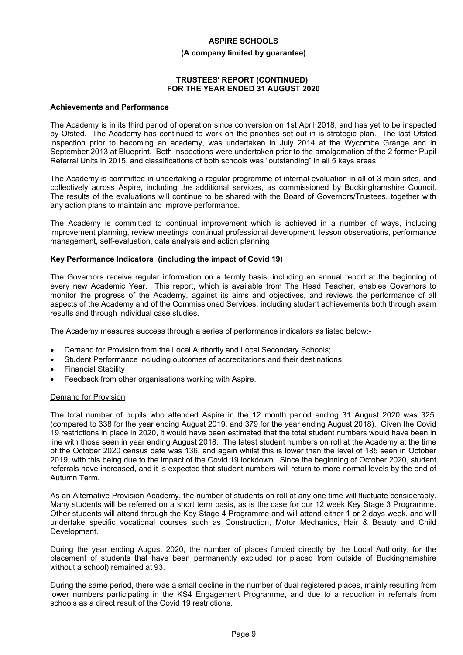#### **(A company limited by guarantee)**

#### **TRUSTEES' REPORT (CONTINUED) FOR THE YEAR ENDED 31 AUGUST 2020**

#### **Achievements and Performance**

The Academy is in its third period of operation since conversion on 1st April 2018, and has yet to be inspected by Ofsted. The Academy has continued to work on the priorities set out in is strategic plan. The last Ofsted inspection prior to becoming an academy, was undertaken in July 2014 at the Wycombe Grange and in September 2013 at Blueprint. Both inspections were undertaken prior to the amalgamation of the 2 former Pupil Referral Units in 2015, and classifications of both schools was "outstanding" in all 5 keys areas.

The Academy is committed in undertaking a regular programme of internal evaluation in all of 3 main sites, and collectively across Aspire, including the additional services, as commissioned by Buckinghamshire Council. The results of the evaluations will continue to be shared with the Board of Governors/Trustees, together with any action plans to maintain and improve performance.

The Academy is committed to continual improvement which is achieved in a number of ways, including improvement planning, review meetings, continual professional development, lesson observations, performance management, self-evaluation, data analysis and action planning.

#### **Key Performance Indicators (including the impact of Covid 19)**

The Governors receive regular information on a termly basis, including an annual report at the beginning of every new Academic Year. This report, which is available from The Head Teacher, enables Governors to monitor the progress of the Academy, against its aims and objectives, and reviews the performance of all aspects of the Academy and of the Commissioned Services, including student achievements both through exam results and through individual case studies.

The Academy measures success through a series of performance indicators as listed below:-

- Demand for Provision from the Local Authority and Local Secondary Schools;
- Student Performance including outcomes of accreditations and their destinations;
- Financial Stability
- Feedback from other organisations working with Aspire.

#### Demand for Provision

The total number of pupils who attended Aspire in the 12 month period ending 31 August 2020 was 325. (compared to 338 for the year ending August 2019, and 379 for the year ending August 2018). Given the Covid 19 restrictions in place in 2020, it would have been estimated that the total student numbers would have been in line with those seen in year ending August 2018. The latest student numbers on roll at the Academy at the time of the October 2020 census date was 136, and again whilst this is lower than the level of 185 seen in October 2019, with this being due to the impact of the Covid 19 lockdown. Since the beginning of October 2020, student referrals have increased, and it is expected that student numbers will return to more normal levels by the end of Autumn Term.

As an Alternative Provision Academy, the number of students on roll at any one time will fluctuate considerably. Many students will be referred on a short term basis, as is the case for our 12 week Key Stage 3 Programme. Other students will attend through the Key Stage 4 Programme and will attend either 1 or 2 days week, and will undertake specific vocational courses such as Construction, Motor Mechanics, Hair & Beauty and Child Development.

During the year ending August 2020, the number of places funded directly by the Local Authority, for the placement of students that have been permanently excluded (or placed from outside of Buckinghamshire without a school) remained at 93.

During the same period, there was a small decline in the number of dual registered places, mainly resulting from lower numbers participating in the KS4 Engagement Programme, and due to a reduction in referrals from schools as a direct result of the Covid 19 restrictions.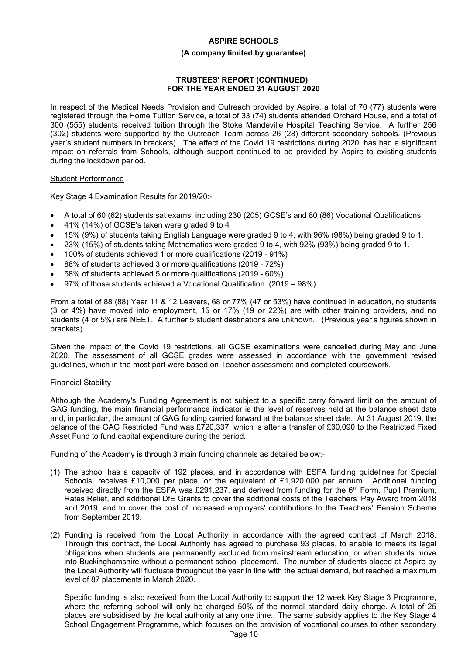#### **(A company limited by guarantee)**

### **TRUSTEES' REPORT (CONTINUED) FOR THE YEAR ENDED 31 AUGUST 2020**

In respect of the Medical Needs Provision and Outreach provided by Aspire, a total of 70 (77) students were registered through the Home Tuition Service, a total of 33 (74) students attended Orchard House, and a total of 300 (555) students received tuition through the Stoke Mandeville Hospital Teaching Service. A further 256 (302) students were supported by the Outreach Team across 26 (28) different secondary schools. (Previous year's student numbers in brackets). The effect of the Covid 19 restrictions during 2020, has had a significant impact on referrals from Schools, although support continued to be provided by Aspire to existing students during the lockdown period.

### Student Performance

Key Stage 4 Examination Results for 2019/20:-

- A total of 60 (62) students sat exams, including 230 (205) GCSE's and 80 (86) Vocational Qualifications
- 41% (14%) of GCSE's taken were graded 9 to 4
- 15% (9%) of students taking English Language were graded 9 to 4, with 96% (98%) being graded 9 to 1.
- 23% (15%) of students taking Mathematics were graded 9 to 4, with 92% (93%) being graded 9 to 1.
- 100% of students achieved 1 or more qualifications (2019 91%)
- 88% of students achieved 3 or more qualifications (2019 72%)
- 58% of students achieved 5 or more qualifications (2019 60%)
- 97% of those students achieved a Vocational Qualification. (2019 98%)

From a total of 88 (88) Year 11 & 12 Leavers, 68 or 77% (47 or 53%) have continued in education, no students (3 or 4%) have moved into employment, 15 or 17% (19 or 22%) are with other training providers, and no students (4 or 5%) are NEET. A further 5 student destinations are unknown. (Previous year's figures shown in brackets)

Given the impact of the Covid 19 restrictions, all GCSE examinations were cancelled during May and June 2020. The assessment of all GCSE grades were assessed in accordance with the government revised guidelines, which in the most part were based on Teacher assessment and completed coursework.

#### Financial Stability

Although the Academy's Funding Agreement is not subject to a specific carry forward limit on the amount of GAG funding, the main financial performance indicator is the level of reserves held at the balance sheet date and, in particular, the amount of GAG funding carried forward at the balance sheet date. At 31 August 2019, the balance of the GAG Restricted Fund was £720,337, which is after a transfer of £30,090 to the Restricted Fixed Asset Fund to fund capital expenditure during the period.

Funding of the Academy is through 3 main funding channels as detailed below:-

- (1) The school has a capacity of 192 places, and in accordance with ESFA funding guidelines for Special Schools, receives £10,000 per place, or the equivalent of £1,920,000 per annum. Additional funding received directly from the ESFA was £291,237, and derived from funding for the  $6<sup>th</sup>$  Form, Pupil Premium, Rates Relief, and additional DfE Grants to cover the additional costs of the Teachers' Pay Award from 2018 and 2019, and to cover the cost of increased employers' contributions to the Teachers' Pension Scheme from September 2019.
- (2) Funding is received from the Local Authority in accordance with the agreed contract of March 2018. Through this contract, the Local Authority has agreed to purchase 93 places, to enable to meets its legal obligations when students are permanently excluded from mainstream education, or when students move into Buckinghamshire without a permanent school placement. The number of students placed at Aspire by the Local Authority will fluctuate throughout the year in line with the actual demand, but reached a maximum level of 87 placements in March 2020.

Specific funding is also received from the Local Authority to support the 12 week Key Stage 3 Programme, where the referring school will only be charged 50% of the normal standard daily charge. A total of 25 places are subsidised by the local authority at any one time. The same subsidy applies to the Key Stage 4 School Engagement Programme, which focuses on the provision of vocational courses to other secondary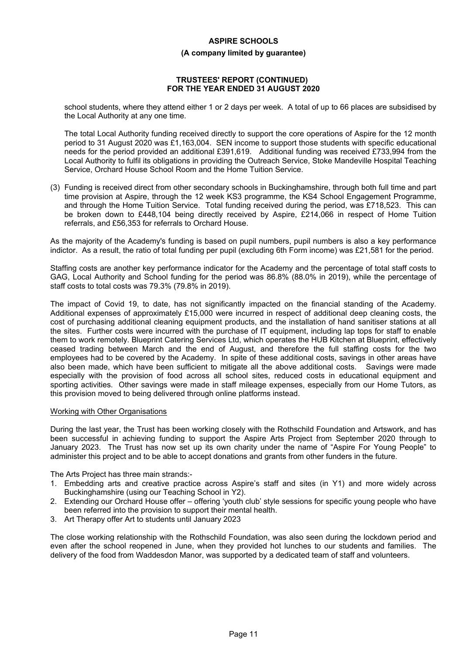#### **(A company limited by guarantee)**

#### **TRUSTEES' REPORT (CONTINUED) FOR THE YEAR ENDED 31 AUGUST 2020**

school students, where they attend either 1 or 2 days per week. A total of up to 66 places are subsidised by the Local Authority at any one time.

The total Local Authority funding received directly to support the core operations of Aspire for the 12 month period to 31 August 2020 was £1,163,004. SEN income to support those students with specific educational needs for the period provided an additional £391,619. Additional funding was received £733,994 from the Local Authority to fulfil its obligations in providing the Outreach Service, Stoke Mandeville Hospital Teaching Service, Orchard House School Room and the Home Tuition Service.

(3) Funding is received direct from other secondary schools in Buckinghamshire, through both full time and part time provision at Aspire, through the 12 week KS3 programme, the KS4 School Engagement Programme, and through the Home Tuition Service. Total funding received during the period, was £718,523. This can be broken down to £448,104 being directly received by Aspire, £214,066 in respect of Home Tuition referrals, and £56,353 for referrals to Orchard House.

As the majority of the Academy's funding is based on pupil numbers, pupil numbers is also a key performance indictor. As a result, the ratio of total funding per pupil (excluding 6th Form income) was £21,581 for the period.

Staffing costs are another key performance indicator for the Academy and the percentage of total staff costs to GAG, Local Authority and School funding for the period was 86.8% (88.0% in 2019), while the percentage of staff costs to total costs was 79.3% (79.8% in 2019).

The impact of Covid 19, to date, has not significantly impacted on the financial standing of the Academy. Additional expenses of approximately £15,000 were incurred in respect of additional deep cleaning costs, the cost of purchasing additional cleaning equipment products, and the installation of hand sanitiser stations at all the sites. Further costs were incurred with the purchase of IT equipment, including lap tops for staff to enable them to work remotely. Blueprint Catering Services Ltd, which operates the HUB Kitchen at Blueprint, effectively ceased trading between March and the end of August, and therefore the full staffing costs for the two employees had to be covered by the Academy. In spite of these additional costs, savings in other areas have also been made, which have been sufficient to mitigate all the above additional costs. Savings were made especially with the provision of food across all school sites, reduced costs in educational equipment and sporting activities. Other savings were made in staff mileage expenses, especially from our Home Tutors, as this provision moved to being delivered through online platforms instead.

#### Working with Other Organisations

During the last year, the Trust has been working closely with the Rothschild Foundation and Artswork, and has been successful in achieving funding to support the Aspire Arts Project from September 2020 through to January 2023. The Trust has now set up its own charity under the name of "Aspire For Young People" to administer this project and to be able to accept donations and grants from other funders in the future.

The Arts Project has three main strands:-

- 1. Embedding arts and creative practice across Aspire's staff and sites (in Y1) and more widely across Buckinghamshire (using our Teaching School in Y2).
- 2. Extending our Orchard House offer offering 'youth club' style sessions for specific young people who have been referred into the provision to support their mental health.
- 3. Art Therapy offer Art to students until January 2023

The close working relationship with the Rothschild Foundation, was also seen during the lockdown period and even after the school reopened in June, when they provided hot lunches to our students and families. The delivery of the food from Waddesdon Manor, was supported by a dedicated team of staff and volunteers.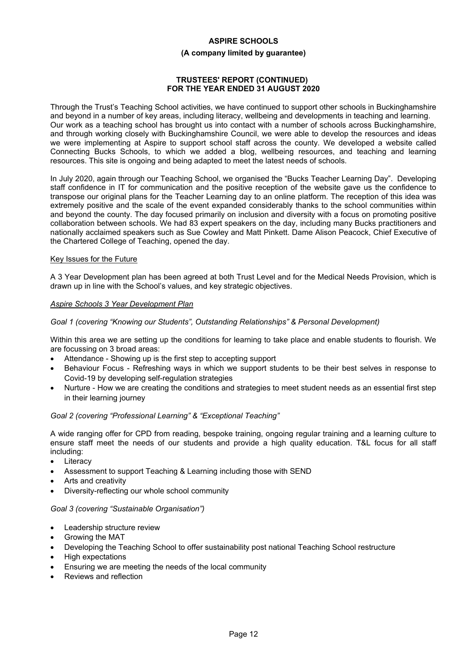#### **(A company limited by guarantee)**

#### **TRUSTEES' REPORT (CONTINUED) FOR THE YEAR ENDED 31 AUGUST 2020**

Through the Trust's Teaching School activities, we have continued to support other schools in Buckinghamshire and beyond in a number of key areas, including literacy, wellbeing and developments in teaching and learning. Our work as a teaching school has brought us into contact with a number of schools across Buckinghamshire, and through working closely with Buckinghamshire Council, we were able to develop the resources and ideas we were implementing at Aspire to support school staff across the county. We developed a website called Connecting Bucks Schools, to which we added a blog, wellbeing resources, and teaching and learning resources. This site is ongoing and being adapted to meet the latest needs of schools.

In July 2020, again through our Teaching School, we organised the "Bucks Teacher Learning Day". Developing staff confidence in IT for communication and the positive reception of the website gave us the confidence to transpose our original plans for the Teacher Learning day to an online platform. The reception of this idea was extremely positive and the scale of the event expanded considerably thanks to the school communities within and beyond the county. The day focused primarily on inclusion and diversity with a focus on promoting positive collaboration between schools. We had 83 expert speakers on the day, including many Bucks practitioners and nationally acclaimed speakers such as Sue Cowley and Matt Pinkett. Dame Alison Peacock, Chief Executive of the Chartered College of Teaching, opened the day.

### Key Issues for the Future

A 3 Year Development plan has been agreed at both Trust Level and for the Medical Needs Provision, which is drawn up in line with the School's values, and key strategic objectives.

#### *Aspire Schools 3 Year Development Plan*

### *Goal 1 (covering "Knowing our Students", Outstanding Relationships" & Personal Development)*

Within this area we are setting up the conditions for learning to take place and enable students to flourish. We are focussing on 3 broad areas:

- Attendance Showing up is the first step to accepting support
- Behaviour Focus Refreshing ways in which we support students to be their best selves in response to Covid-19 by developing self-regulation strategies
- Nurture How we are creating the conditions and strategies to meet student needs as an essential first step in their learning journey

#### *Goal 2 (covering "Professional Learning" & "Exceptional Teaching"*

A wide ranging offer for CPD from reading, bespoke training, ongoing regular training and a learning culture to ensure staff meet the needs of our students and provide a high quality education. T&L focus for all staff including:

- **Literacy**
- Assessment to support Teaching & Learning including those with SEND
- Arts and creativity
- Diversity-reflecting our whole school community

#### *Goal 3 (covering "Sustainable Organisation")*

- Leadership structure review
- Growing the MAT
- Developing the Teaching School to offer sustainability post national Teaching School restructure
- High expectations
- Ensuring we are meeting the needs of the local community
- Reviews and reflection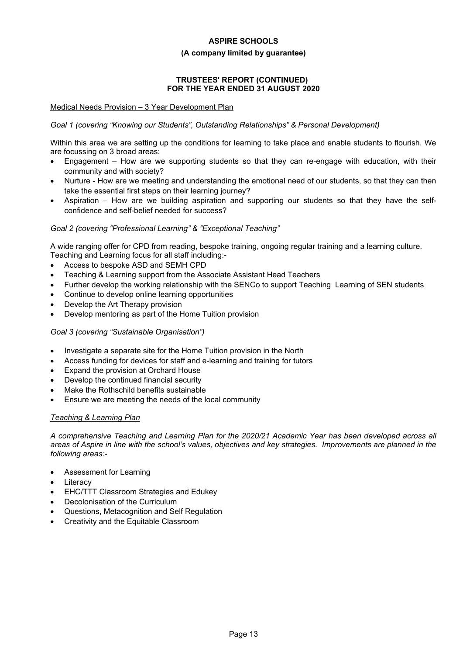#### **(A company limited by guarantee)**

# **TRUSTEES' REPORT (CONTINUED) FOR THE YEAR ENDED 31 AUGUST 2020**

### Medical Needs Provision – 3 Year Development Plan

# *Goal 1 (covering "Knowing our Students", Outstanding Relationships" & Personal Development)*

Within this area we are setting up the conditions for learning to take place and enable students to flourish. We are focussing on 3 broad areas:

- Engagement How are we supporting students so that they can re-engage with education, with their community and with society?
- Nurture How are we meeting and understanding the emotional need of our students, so that they can then take the essential first steps on their learning journey?
- Aspiration How are we building aspiration and supporting our students so that they have the selfconfidence and self-belief needed for success?

### *Goal 2 (covering "Professional Learning" & "Exceptional Teaching"*

A wide ranging offer for CPD from reading, bespoke training, ongoing regular training and a learning culture. Teaching and Learning focus for all staff including:-

- Access to bespoke ASD and SEMH CPD
- Teaching & Learning support from the Associate Assistant Head Teachers
- Further develop the working relationship with the SENCo to support Teaching Learning of SEN students
- Continue to develop online learning opportunities
- Develop the Art Therapy provision
- Develop mentoring as part of the Home Tuition provision

#### *Goal 3 (covering "Sustainable Organisation")*

- Investigate a separate site for the Home Tuition provision in the North
- Access funding for devices for staff and e-learning and training for tutors
- Expand the provision at Orchard House
- Develop the continued financial security
- Make the Rothschild benefits sustainable
- Ensure we are meeting the needs of the local community

# *Teaching & Learning Plan*

*A comprehensive Teaching and Learning Plan for the 2020/21 Academic Year has been developed across all areas of Aspire in line with the school's values, objectives and key strategies. Improvements are planned in the following areas:-*

- Assessment for Learning
- **Literacy**
- EHC/TTT Classroom Strategies and Edukey
- Decolonisation of the Curriculum
- Questions, Metacognition and Self Regulation
- Creativity and the Equitable Classroom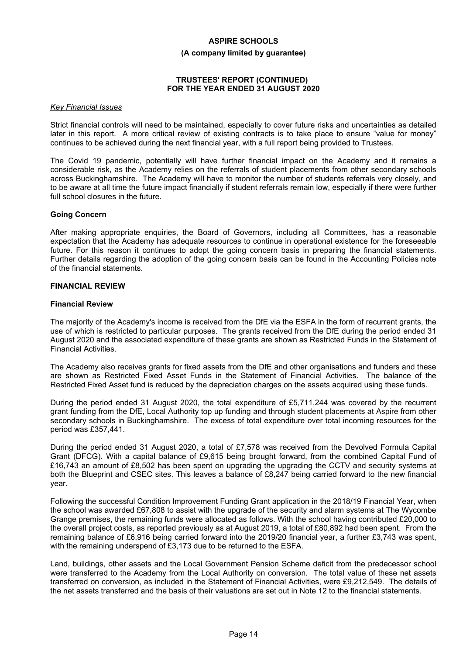#### **(A company limited by guarantee)**

#### **TRUSTEES' REPORT (CONTINUED) FOR THE YEAR ENDED 31 AUGUST 2020**

#### *Key Financial Issues*

Strict financial controls will need to be maintained, especially to cover future risks and uncertainties as detailed later in this report. A more critical review of existing contracts is to take place to ensure "value for money" continues to be achieved during the next financial year, with a full report being provided to Trustees.

The Covid 19 pandemic, potentially will have further financial impact on the Academy and it remains a considerable risk, as the Academy relies on the referrals of student placements from other secondary schools across Buckinghamshire. The Academy will have to monitor the number of students referrals very closely, and to be aware at all time the future impact financially if student referrals remain low, especially if there were further full school closures in the future.

#### **Going Concern**

After making appropriate enquiries, the Board of Governors, including all Committees, has a reasonable expectation that the Academy has adequate resources to continue in operational existence for the foreseeable future. For this reason it continues to adopt the going concern basis in preparing the financial statements. Further details regarding the adoption of the going concern basis can be found in the Accounting Policies note of the financial statements.

### **FINANCIAL REVIEW**

#### **Financial Review**

The majority of the Academy's income is received from the DfE via the ESFA in the form of recurrent grants, the use of which is restricted to particular purposes. The grants received from the DfE during the period ended 31 August 2020 and the associated expenditure of these grants are shown as Restricted Funds in the Statement of Financial Activities.

The Academy also receives grants for fixed assets from the DfE and other organisations and funders and these are shown as Restricted Fixed Asset Funds in the Statement of Financial Activities. The balance of the Restricted Fixed Asset fund is reduced by the depreciation charges on the assets acquired using these funds.

During the period ended 31 August 2020, the total expenditure of £5,711,244 was covered by the recurrent grant funding from the DfE, Local Authority top up funding and through student placements at Aspire from other secondary schools in Buckinghamshire. The excess of total expenditure over total incoming resources for the period was £357,441.

During the period ended 31 August 2020, a total of £7,578 was received from the Devolved Formula Capital Grant (DFCG). With a capital balance of £9,615 being brought forward, from the combined Capital Fund of £16,743 an amount of £8,502 has been spent on upgrading the upgrading the CCTV and security systems at both the Blueprint and CSEC sites. This leaves a balance of £8,247 being carried forward to the new financial year.

Following the successful Condition Improvement Funding Grant application in the 2018/19 Financial Year, when the school was awarded £67,808 to assist with the upgrade of the security and alarm systems at The Wycombe Grange premises, the remaining funds were allocated as follows. With the school having contributed £20,000 to the overall project costs, as reported previously as at August 2019, a total of £80,892 had been spent. From the remaining balance of £6,916 being carried forward into the 2019/20 financial year, a further £3,743 was spent, with the remaining underspend of £3,173 due to be returned to the ESFA.

Land, buildings, other assets and the Local Government Pension Scheme deficit from the predecessor school were transferred to the Academy from the Local Authority on conversion. The total value of these net assets transferred on conversion, as included in the Statement of Financial Activities, were £9,212,549. The details of the net assets transferred and the basis of their valuations are set out in Note 12 to the financial statements.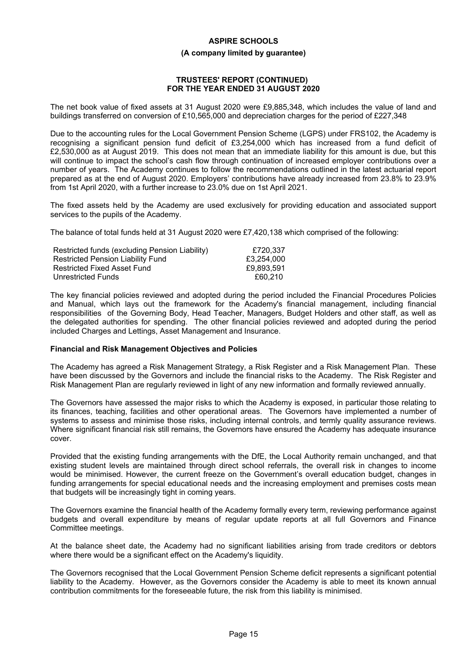#### **(A company limited by guarantee)**

#### **TRUSTEES' REPORT (CONTINUED) FOR THE YEAR ENDED 31 AUGUST 2020**

The net book value of fixed assets at 31 August 2020 were £9,885,348, which includes the value of land and buildings transferred on conversion of £10,565,000 and depreciation charges for the period of £227,348

Due to the accounting rules for the Local Government Pension Scheme (LGPS) under FRS102, the Academy is recognising a significant pension fund deficit of £3,254,000 which has increased from a fund deficit of £2,530,000 as at August 2019. This does not mean that an immediate liability for this amount is due, but this will continue to impact the school's cash flow through continuation of increased employer contributions over a number of years. The Academy continues to follow the recommendations outlined in the latest actuarial report prepared as at the end of August 2020. Employers' contributions have already increased from 23.8% to 23.9% from 1st April 2020, with a further increase to 23.0% due on 1st April 2021.

The fixed assets held by the Academy are used exclusively for providing education and associated support services to the pupils of the Academy.

The balance of total funds held at 31 August 2020 were £7,420,138 which comprised of the following:

| Restricted funds (excluding Pension Liability) | £720.337   |
|------------------------------------------------|------------|
| Restricted Pension Liability Fund              | £3,254,000 |
| Restricted Fixed Asset Fund                    | £9.893.591 |
| Unrestricted Funds                             | £60.210    |

The key financial policies reviewed and adopted during the period included the Financial Procedures Policies and Manual, which lays out the framework for the Academy's financial management, including financial responsibilities of the Governing Body, Head Teacher, Managers, Budget Holders and other staff, as well as the delegated authorities for spending. The other financial policies reviewed and adopted during the period included Charges and Lettings, Asset Management and Insurance.

#### **Financial and Risk Management Objectives and Policies**

The Academy has agreed a Risk Management Strategy, a Risk Register and a Risk Management Plan. These have been discussed by the Governors and include the financial risks to the Academy. The Risk Register and Risk Management Plan are regularly reviewed in light of any new information and formally reviewed annually.

The Governors have assessed the major risks to which the Academy is exposed, in particular those relating to its finances, teaching, facilities and other operational areas. The Governors have implemented a number of systems to assess and minimise those risks, including internal controls, and termly quality assurance reviews. Where significant financial risk still remains, the Governors have ensured the Academy has adequate insurance cover.

Provided that the existing funding arrangements with the DfE, the Local Authority remain unchanged, and that existing student levels are maintained through direct school referrals, the overall risk in changes to income would be minimised. However, the current freeze on the Government's overall education budget, changes in funding arrangements for special educational needs and the increasing employment and premises costs mean that budgets will be increasingly tight in coming years.

The Governors examine the financial health of the Academy formally every term, reviewing performance against budgets and overall expenditure by means of regular update reports at all full Governors and Finance Committee meetings.

At the balance sheet date, the Academy had no significant liabilities arising from trade creditors or debtors where there would be a significant effect on the Academy's liquidity.

The Governors recognised that the Local Government Pension Scheme deficit represents a significant potential liability to the Academy. However, as the Governors consider the Academy is able to meet its known annual contribution commitments for the foreseeable future, the risk from this liability is minimised.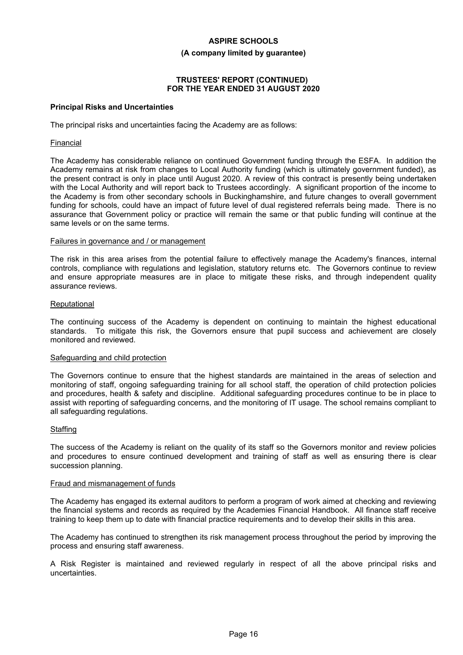#### **(A company limited by guarantee)**

### **TRUSTEES' REPORT (CONTINUED) FOR THE YEAR ENDED 31 AUGUST 2020**

#### **Principal Risks and Uncertainties**

The principal risks and uncertainties facing the Academy are as follows:

#### Financial

The Academy has considerable reliance on continued Government funding through the ESFA. In addition the Academy remains at risk from changes to Local Authority funding (which is ultimately government funded), as the present contract is only in place until August 2020. A review of this contract is presently being undertaken with the Local Authority and will report back to Trustees accordingly. A significant proportion of the income to the Academy is from other secondary schools in Buckinghamshire, and future changes to overall government funding for schools, could have an impact of future level of dual registered referrals being made. There is no assurance that Government policy or practice will remain the same or that public funding will continue at the same levels or on the same terms.

#### Failures in governance and / or management

The risk in this area arises from the potential failure to effectively manage the Academy's finances, internal controls, compliance with regulations and legislation, statutory returns etc. The Governors continue to review and ensure appropriate measures are in place to mitigate these risks, and through independent quality assurance reviews.

#### Reputational

The continuing success of the Academy is dependent on continuing to maintain the highest educational standards. To mitigate this risk, the Governors ensure that pupil success and achievement are closely monitored and reviewed.

#### Safeguarding and child protection

The Governors continue to ensure that the highest standards are maintained in the areas of selection and monitoring of staff, ongoing safeguarding training for all school staff, the operation of child protection policies and procedures, health & safety and discipline. Additional safeguarding procedures continue to be in place to assist with reporting of safeguarding concerns, and the monitoring of IT usage. The school remains compliant to all safeguarding regulations.

#### **Staffing**

The success of the Academy is reliant on the quality of its staff so the Governors monitor and review policies and procedures to ensure continued development and training of staff as well as ensuring there is clear succession planning.

#### Fraud and mismanagement of funds

The Academy has engaged its external auditors to perform a program of work aimed at checking and reviewing the financial systems and records as required by the Academies Financial Handbook. All finance staff receive training to keep them up to date with financial practice requirements and to develop their skills in this area.

The Academy has continued to strengthen its risk management process throughout the period by improving the process and ensuring staff awareness.

A Risk Register is maintained and reviewed regularly in respect of all the above principal risks and uncertainties.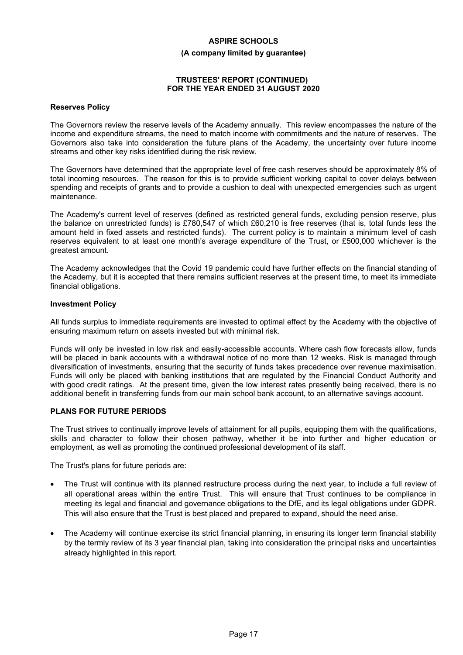#### **(A company limited by guarantee)**

#### **TRUSTEES' REPORT (CONTINUED) FOR THE YEAR ENDED 31 AUGUST 2020**

#### **Reserves Policy**

The Governors review the reserve levels of the Academy annually. This review encompasses the nature of the income and expenditure streams, the need to match income with commitments and the nature of reserves. The Governors also take into consideration the future plans of the Academy, the uncertainty over future income streams and other key risks identified during the risk review.

The Governors have determined that the appropriate level of free cash reserves should be approximately 8% of total incoming resources. The reason for this is to provide sufficient working capital to cover delays between spending and receipts of grants and to provide a cushion to deal with unexpected emergencies such as urgent maintenance.

The Academy's current level of reserves (defined as restricted general funds, excluding pension reserve, plus the balance on unrestricted funds) is £780,547 of which £60,210 is free reserves (that is, total funds less the amount held in fixed assets and restricted funds). The current policy is to maintain a minimum level of cash reserves equivalent to at least one month's average expenditure of the Trust, or £500,000 whichever is the greatest amount.

The Academy acknowledges that the Covid 19 pandemic could have further effects on the financial standing of the Academy, but it is accepted that there remains sufficient reserves at the present time, to meet its immediate financial obligations.

#### **Investment Policy**

All funds surplus to immediate requirements are invested to optimal effect by the Academy with the objective of ensuring maximum return on assets invested but with minimal risk.

Funds will only be invested in low risk and easily-accessible accounts. Where cash flow forecasts allow, funds will be placed in bank accounts with a withdrawal notice of no more than 12 weeks. Risk is managed through diversification of investments, ensuring that the security of funds takes precedence over revenue maximisation. Funds will only be placed with banking institutions that are regulated by the Financial Conduct Authority and with good credit ratings. At the present time, given the low interest rates presently being received, there is no additional benefit in transferring funds from our main school bank account, to an alternative savings account.

#### **PLANS FOR FUTURE PERIODS**

The Trust strives to continually improve levels of attainment for all pupils, equipping them with the qualifications, skills and character to follow their chosen pathway, whether it be into further and higher education or employment, as well as promoting the continued professional development of its staff.

The Trust's plans for future periods are:

- The Trust will continue with its planned restructure process during the next year, to include a full review of all operational areas within the entire Trust. This will ensure that Trust continues to be compliance in meeting its legal and financial and governance obligations to the DfE, and its legal obligations under GDPR. This will also ensure that the Trust is best placed and prepared to expand, should the need arise.
- The Academy will continue exercise its strict financial planning, in ensuring its longer term financial stability by the termly review of its 3 year financial plan, taking into consideration the principal risks and uncertainties already highlighted in this report.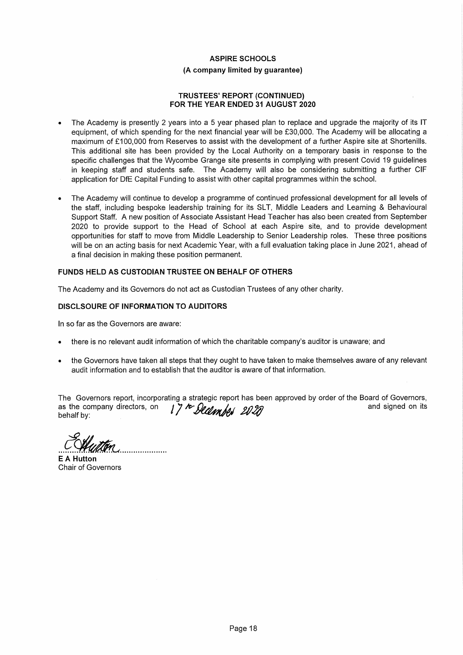# **ASPIRE SCHOOLS** (A company limited by quarantee)

#### **TRUSTEES' REPORT (CONTINUED)** FOR THE YEAR ENDED 31 AUGUST 2020

- The Academy is presently 2 years into a 5 year phased plan to replace and upgrade the majority of its IT equipment, of which spending for the next financial year will be £30,000. The Academy will be allocating a maximum of £100,000 from Reserves to assist with the development of a further Aspire site at Shortenills. This additional site has been provided by the Local Authority on a temporary basis in response to the specific challenges that the Wycombe Grange site presents in complying with present Covid 19 guidelines in keeping staff and students safe. The Academy will also be considering submitting a further CIF application for DfE Capital Funding to assist with other capital programmes within the school.
- The Academy will continue to develop a programme of continued professional development for all levels of the staff, including bespoke leadership training for its SLT, Middle Leaders and Learning & Behavioural Support Staff. A new position of Associate Assistant Head Teacher has also been created from September 2020 to provide support to the Head of School at each Aspire site, and to provide development opportunities for staff to move from Middle Leadership to Senior Leadership roles. These three positions will be on an acting basis for next Academic Year, with a full evaluation taking place in June 2021, ahead of a final decision in making these position permanent.

# FUNDS HELD AS CUSTODIAN TRUSTEE ON BEHALF OF OTHERS

The Academy and its Governors do not act as Custodian Trustees of any other charity.

### **DISCLSOURE OF INFORMATION TO AUDITORS**

In so far as the Governors are aware:

- there is no relevant audit information of which the charitable company's auditor is unaware; and
- the Governors have taken all steps that they ought to have taken to make themselves aware of any relevant audit information and to establish that the auditor is aware of that information.

The Governors report, incorporating a strategic report has been approved by order of the Board of Governors, 17th December 2020 and signed on its as the company directors, on behalf by:

**F A Hutton** 

**Chair of Governors**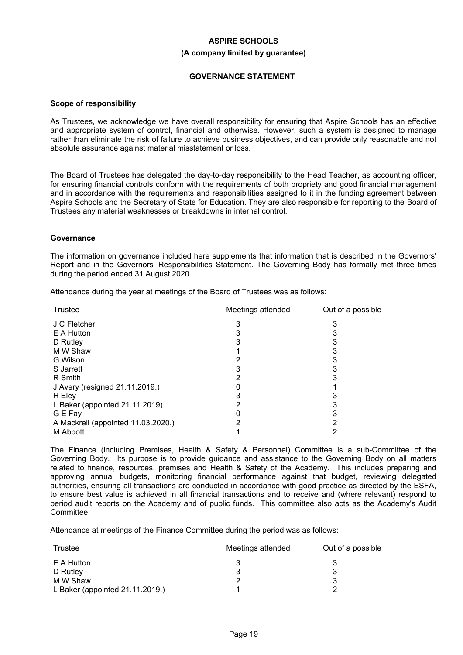# **ASPIRE SCHOOLS (A company limited by guarantee)**

# **GOVERNANCE STATEMENT**

#### **Scope of responsibility**

As Trustees, we acknowledge we have overall responsibility for ensuring that Aspire Schools has an effective and appropriate system of control, financial and otherwise. However, such a system is designed to manage rather than eliminate the risk of failure to achieve business objectives, and can provide only reasonable and not absolute assurance against material misstatement or loss.

The Board of Trustees has delegated the day-to-day responsibility to the Head Teacher, as accounting officer, for ensuring financial controls conform with the requirements of both propriety and good financial management and in accordance with the requirements and responsibilities assigned to it in the funding agreement between Aspire Schools and the Secretary of State for Education. They are also responsible for reporting to the Board of Trustees any material weaknesses or breakdowns in internal control.

#### **Governance**

The information on governance included here supplements that information that is described in the Governors' Report and in the Governors' Responsibilities Statement. The Governing Body has formally met three times during the period ended 31 August 2020.

Attendance during the year at meetings of the Board of Trustees was as follows:

| Meetings attended | Out of a possible |
|-------------------|-------------------|
|                   |                   |
|                   |                   |
|                   |                   |
|                   |                   |
|                   |                   |
|                   |                   |
|                   |                   |
|                   |                   |
|                   |                   |
|                   |                   |
|                   |                   |
|                   |                   |
|                   |                   |
|                   |                   |

The Finance (including Premises, Health & Safety & Personnel) Committee is a sub-Committee of the Governing Body. Its purpose is to provide guidance and assistance to the Governing Body on all matters related to finance, resources, premises and Health & Safety of the Academy. This includes preparing and approving annual budgets, monitoring financial performance against that budget, reviewing delegated authorities, ensuring all transactions are conducted in accordance with good practice as directed by the ESFA, to ensure best value is achieved in all financial transactions and to receive and (where relevant) respond to period audit reports on the Academy and of public funds. This committee also acts as the Academy's Audit Committee.

Attendance at meetings of the Finance Committee during the period was as follows:

| Trustee                         | Meetings attended | Out of a possible |
|---------------------------------|-------------------|-------------------|
| E A Hutton                      |                   |                   |
| D Rutley                        |                   |                   |
| M W Shaw                        |                   |                   |
| L Baker (appointed 21.11.2019.) |                   |                   |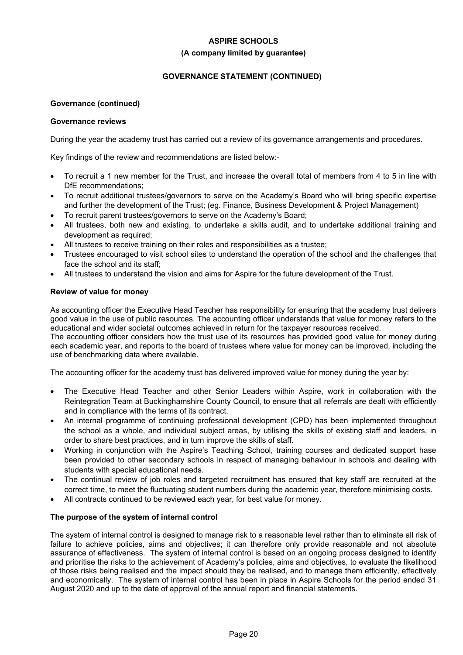### **(A company limited by guarantee)**

# **GOVERNANCE STATEMENT (CONTINUED)**

# **Governance (continued)**

### **Governance reviews**

During the year the academy trust has carried out a review of its governance arrangements and procedures.

Key findings of the review and recommendations are listed below:-

- To recruit a 1 new member for the Trust, and increase the overall total of members from 4 to 5 in line with DfE recommendations;
- To recruit additional trustees/governors to serve on the Academy's Board who will bring specific expertise and further the development of the Trust; (eg. Finance, Business Development & Project Management)
- To recruit parent trustees/governors to serve on the Academy's Board;
- All trustees, both new and existing, to undertake a skills audit, and to undertake additional training and development as required;
- All trustees to receive training on their roles and responsibilities as a trustee;
- Trustees encouraged to visit school sites to understand the operation of the school and the challenges that face the school and its staff;
- All trustees to understand the vision and aims for Aspire for the future development of the Trust.

### **Review of value for money**

As accounting officer the Executive Head Teacher has responsibility for ensuring that the academy trust delivers good value in the use of public resources. The accounting officer understands that value for money refers to the educational and wider societal outcomes achieved in return for the taxpayer resources received.

The accounting officer considers how the trust use of its resources has provided good value for money during each academic year, and reports to the board of trustees where value for money can be improved, including the use of benchmarking data where available.

The accounting officer for the academy trust has delivered improved value for money during the year by:

- The Executive Head Teacher and other Senior Leaders within Aspire, work in collaboration with the Reintegration Team at Buckinghamshire County Council, to ensure that all referrals are dealt with efficiently and in compliance with the terms of its contract.
- An internal programme of continuing professional development (CPD) has been implemented throughout the school as a whole, and individual subject areas, by utilising the skills of existing staff and leaders, in order to share best practices, and in turn improve the skills of staff.
- Working in conjunction with the Aspire's Teaching School, training courses and dedicated support hase been provided to other secondary schools in respect of managing behaviour in schools and dealing with students with special educational needs.
- The continual review of job roles and targeted recruitment has ensured that key staff are recruited at the correct time, to meet the fluctuating student numbers during the academic year, therefore minimising costs.
- All contracts continued to be reviewed each year, for best value for money.

# **The purpose of the system of internal control**

The system of internal control is designed to manage risk to a reasonable level rather than to eliminate all risk of failure to achieve policies, aims and objectives; it can therefore only provide reasonable and not absolute assurance of effectiveness. The system of internal control is based on an ongoing process designed to identify and prioritise the risks to the achievement of Academy's policies, aims and objectives, to evaluate the likelihood of those risks being realised and the impact should they be realised, and to manage them efficiently, effectively and economically. The system of internal control has been in place in Aspire Schools for the period ended 31 August 2020 and up to the date of approval of the annual report and financial statements.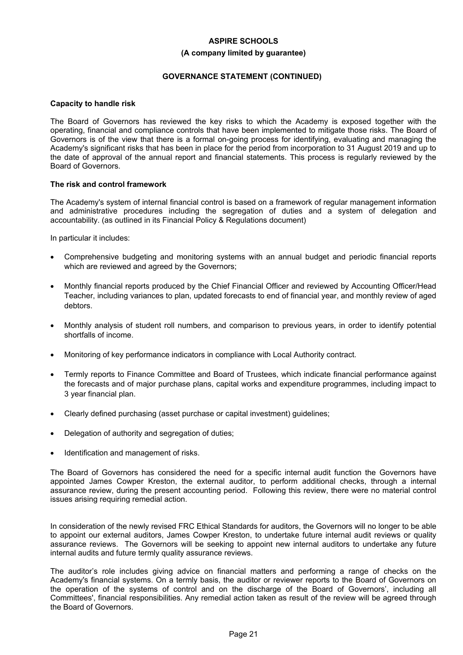#### **(A company limited by guarantee)**

# **GOVERNANCE STATEMENT (CONTINUED)**

### **Capacity to handle risk**

The Board of Governors has reviewed the key risks to which the Academy is exposed together with the operating, financial and compliance controls that have been implemented to mitigate those risks. The Board of Governors is of the view that there is a formal on-going process for identifying, evaluating and managing the Academy's significant risks that has been in place for the period from incorporation to 31 August 2019 and up to the date of approval of the annual report and financial statements. This process is regularly reviewed by the Board of Governors.

### **The risk and control framework**

The Academy's system of internal financial control is based on a framework of regular management information and administrative procedures including the segregation of duties and a system of delegation and accountability. (as outlined in its Financial Policy & Regulations document)

In particular it includes:

- Comprehensive budgeting and monitoring systems with an annual budget and periodic financial reports which are reviewed and agreed by the Governors;
- Monthly financial reports produced by the Chief Financial Officer and reviewed by Accounting Officer/Head Teacher, including variances to plan, updated forecasts to end of financial year, and monthly review of aged debtors.
- Monthly analysis of student roll numbers, and comparison to previous years, in order to identify potential shortfalls of income.
- Monitoring of key performance indicators in compliance with Local Authority contract.
- Termly reports to Finance Committee and Board of Trustees, which indicate financial performance against the forecasts and of major purchase plans, capital works and expenditure programmes, including impact to 3 year financial plan.
- Clearly defined purchasing (asset purchase or capital investment) guidelines;
- Delegation of authority and segregation of duties;
- Identification and management of risks.

The Board of Governors has considered the need for a specific internal audit function the Governors have appointed James Cowper Kreston, the external auditor, to perform additional checks, through a internal assurance review, during the present accounting period. Following this review, there were no material control issues arising requiring remedial action.

In consideration of the newly revised FRC Ethical Standards for auditors, the Governors will no longer to be able to appoint our external auditors, James Cowper Kreston, to undertake future internal audit reviews or quality assurance reviews. The Governors will be seeking to appoint new internal auditors to undertake any future internal audits and future termly quality assurance reviews.

The auditor's role includes giving advice on financial matters and performing a range of checks on the Academy's financial systems. On a termly basis, the auditor or reviewer reports to the Board of Governors on the operation of the systems of control and on the discharge of the Board of Governors', including all Committees', financial responsibilities. Any remedial action taken as result of the review will be agreed through the Board of Governors.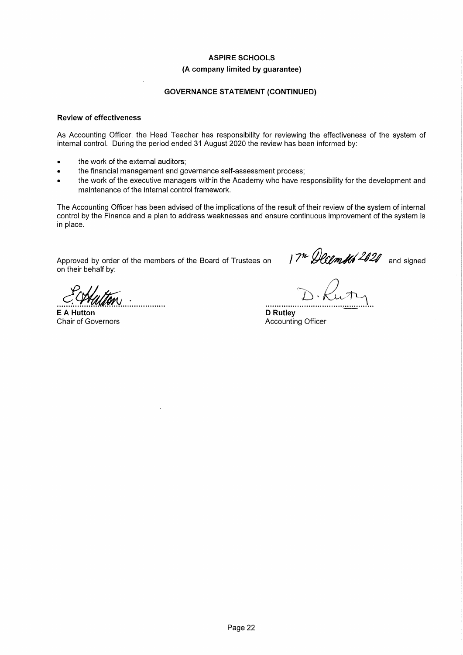# **ASPIRE SCHOOLS** (A company limited by guarantee)

# **GOVERNANCE STATEMENT (CONTINUED)**

#### **Review of effectiveness**

As Accounting Officer, the Head Teacher has responsibility for reviewing the effectiveness of the system of internal control. During the period ended 31 August 2020 the review has been informed by:

- the work of the external auditors:
- the financial management and governance self-assessment process;  $\bullet$
- the work of the executive managers within the Academy who have responsibility for the development and Ä maintenance of the internal control framework.

The Accounting Officer has been advised of the implications of the result of their review of the system of internal control by the Finance and a plan to address weaknesses and ensure continuous improvement of the system is in place.

Approved by order of the members of the Board of Trustees on on their behalf by:

 $17<sup>n</sup>$  December 2020 and signed

**E A Hutton** Chair of Governors

**D** Rutley Accounting Officer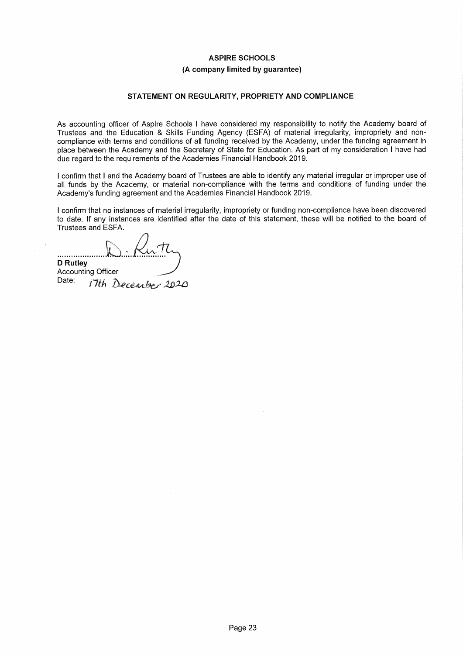# (A company limited by guarantee)

# STATEMENT ON REGULARITY, PROPRIETY AND COMPLIANCE

As accounting officer of Aspire Schools I have considered my responsibility to notify the Academy board of Trustees and the Education & Skills Funding Agency (ESFA) of material irregularity, impropriety and noncompliance with terms and conditions of all funding received by the Academy, under the funding agreement in place between the Academy and the Secretary of State for Education. As part of my consideration I have had due regard to the requirements of the Academies Financial Handbook 2019.

I confirm that I and the Academy board of Trustees are able to identify any material irregular or improper use of all funds by the Academy, or material non-compliance with the terms and conditions of funding under the Academy's funding agreement and the Academies Financial Handbook 2019.

I confirm that no instances of material irregularity, impropriety or funding non-compliance have been discovered to date. If any instances are identified after the date of this statement, these will be notified to the board of Trustees and ESFA.

................. **D** Rutley **Accounting Officer** 

Date: 17th December 2020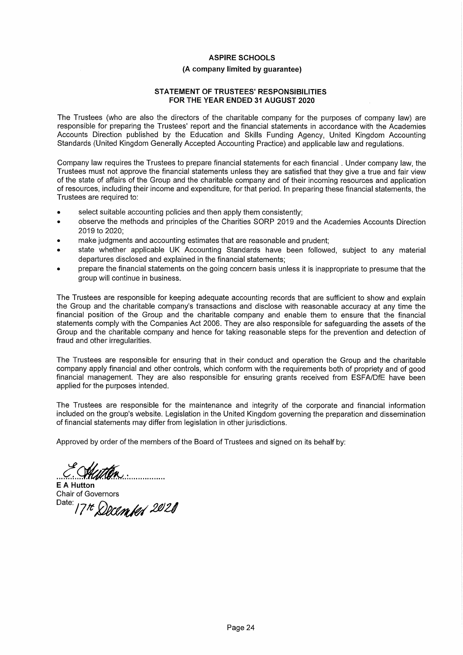#### (A company limited by quarantee)

#### **STATEMENT OF TRUSTEES' RESPONSIBILITIES** FOR THE YEAR ENDED 31 AUGUST 2020

The Trustees (who are also the directors of the charitable company for the purposes of company law) are responsible for preparing the Trustees' report and the financial statements in accordance with the Academies Accounts Direction published by the Education and Skills Funding Agency, United Kingdom Accounting Standards (United Kingdom Generally Accepted Accounting Practice) and applicable law and regulations.

Company law requires the Trustees to prepare financial statements for each financial. Under company law, the Trustees must not approve the financial statements unless they are satisfied that they give a true and fair view of the state of affairs of the Group and the charitable company and of their incoming resources and application of resources, including their income and expenditure, for that period. In preparing these financial statements, the Trustees are required to:

- select suitable accounting policies and then apply them consistently;  $\bullet$
- observe the methods and principles of the Charities SORP 2019 and the Academies Accounts Direction 2019 to 2020:
- make judgments and accounting estimates that are reasonable and prudent;
- state whether applicable UK Accounting Standards have been followed, subject to any material departures disclosed and explained in the financial statements;
- prepare the financial statements on the going concern basis unless it is inappropriate to presume that the aroup will continue in business.

The Trustees are responsible for keeping adequate accounting records that are sufficient to show and explain the Group and the charitable company's transactions and disclose with reasonable accuracy at any time the financial position of the Group and the charitable company and enable them to ensure that the financial statements comply with the Companies Act 2006. They are also responsible for safeguarding the assets of the Group and the charitable company and hence for taking reasonable steps for the prevention and detection of fraud and other irregularities.

The Trustees are responsible for ensuring that in their conduct and operation the Group and the charitable company apply financial and other controls, which conform with the requirements both of propriety and of good financial management. They are also responsible for ensuring grants received from ESFA/DfE have been applied for the purposes intended.

The Trustees are responsible for the maintenance and integrity of the corporate and financial information included on the group's website. Legislation in the United Kingdom governing the preparation and dissemination of financial statements may differ from legislation in other jurisdictions.

Approved by order of the members of the Board of Trustees and signed on its behalf by:

..................

**E A Hutton Chair of Governors** Date: 17th December 2020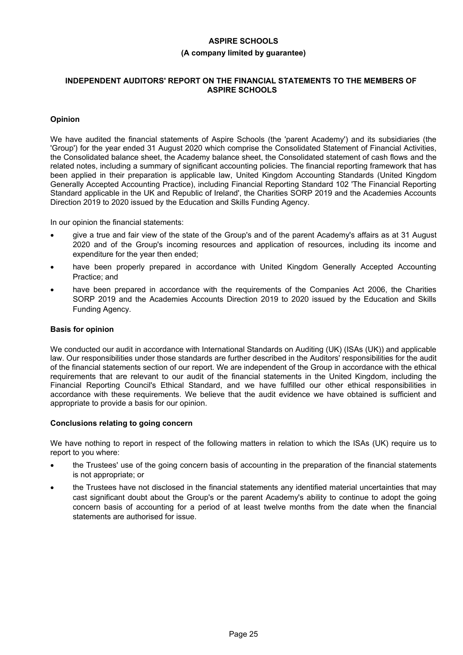#### **(A company limited by guarantee)**

### **INDEPENDENT AUDITORS' REPORT ON THE FINANCIAL STATEMENTS TO THE MEMBERS OF ASPIRE SCHOOLS**

# **Opinion**

We have audited the financial statements of Aspire Schools (the 'parent Academy') and its subsidiaries (the 'Group') for the year ended 31 August 2020 which comprise the Consolidated Statement of Financial Activities, the Consolidated balance sheet, the Academy balance sheet, the Consolidated statement of cash flows and the related notes, including a summary of significant accounting policies. The financial reporting framework that has been applied in their preparation is applicable law, United Kingdom Accounting Standards (United Kingdom Generally Accepted Accounting Practice), including Financial Reporting Standard 102 'The Financial Reporting Standard applicable in the UK and Republic of Ireland', the Charities SORP 2019 and the Academies Accounts Direction 2019 to 2020 issued by the Education and Skills Funding Agency.

In our opinion the financial statements:

- give a true and fair view of the state of the Group's and of the parent Academy's affairs as at 31 August 2020 and of the Group's incoming resources and application of resources, including its income and expenditure for the year then ended;
- have been properly prepared in accordance with United Kingdom Generally Accepted Accounting Practice; and
- have been prepared in accordance with the requirements of the Companies Act 2006, the Charities SORP 2019 and the Academies Accounts Direction 2019 to 2020 issued by the Education and Skills Funding Agency.

# **Basis for opinion**

We conducted our audit in accordance with International Standards on Auditing (UK) (ISAs (UK)) and applicable law. Our responsibilities under those standards are further described in the Auditors' responsibilities for the audit of the financial statements section of our report. We are independent of the Group in accordance with the ethical requirements that are relevant to our audit of the financial statements in the United Kingdom, including the Financial Reporting Council's Ethical Standard, and we have fulfilled our other ethical responsibilities in accordance with these requirements. We believe that the audit evidence we have obtained is sufficient and appropriate to provide a basis for our opinion.

# **Conclusions relating to going concern**

We have nothing to report in respect of the following matters in relation to which the ISAs (UK) require us to report to you where:

- the Trustees' use of the going concern basis of accounting in the preparation of the financial statements is not appropriate; or
- the Trustees have not disclosed in the financial statements any identified material uncertainties that may cast significant doubt about the Group's or the parent Academy's ability to continue to adopt the going concern basis of accounting for a period of at least twelve months from the date when the financial statements are authorised for issue.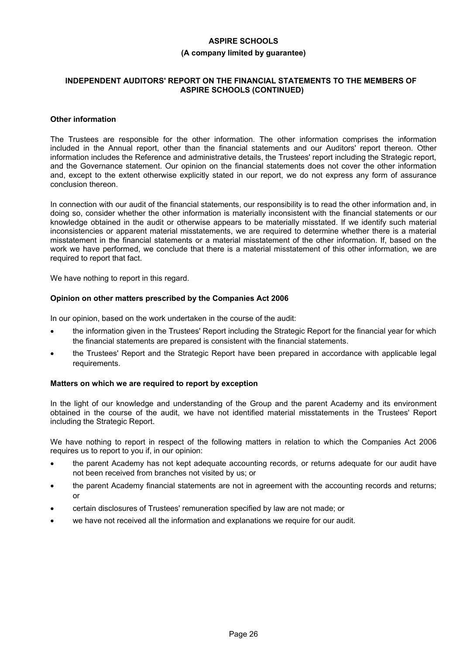# **(A company limited by guarantee)**

#### **INDEPENDENT AUDITORS' REPORT ON THE FINANCIAL STATEMENTS TO THE MEMBERS OF ASPIRE SCHOOLS (CONTINUED)**

#### **Other information**

The Trustees are responsible for the other information. The other information comprises the information included in the Annual report, other than the financial statements and our Auditors' report thereon. Other information includes the Reference and administrative details, the Trustees' report including the Strategic report, and the Governance statement. Our opinion on the financial statements does not cover the other information and, except to the extent otherwise explicitly stated in our report, we do not express any form of assurance conclusion thereon.

In connection with our audit of the financial statements, our responsibility is to read the other information and, in doing so, consider whether the other information is materially inconsistent with the financial statements or our knowledge obtained in the audit or otherwise appears to be materially misstated. If we identify such material inconsistencies or apparent material misstatements, we are required to determine whether there is a material misstatement in the financial statements or a material misstatement of the other information. If, based on the work we have performed, we conclude that there is a material misstatement of this other information, we are required to report that fact.

We have nothing to report in this regard.

#### **Opinion on other matters prescribed by the Companies Act 2006**

In our opinion, based on the work undertaken in the course of the audit:

- the information given in the Trustees' Report including the Strategic Report for the financial year for which the financial statements are prepared is consistent with the financial statements.
- the Trustees' Report and the Strategic Report have been prepared in accordance with applicable legal requirements.

#### **Matters on which we are required to report by exception**

In the light of our knowledge and understanding of the Group and the parent Academy and its environment obtained in the course of the audit, we have not identified material misstatements in the Trustees' Report including the Strategic Report.

We have nothing to report in respect of the following matters in relation to which the Companies Act 2006 requires us to report to you if, in our opinion:

- the parent Academy has not kept adequate accounting records, or returns adequate for our audit have not been received from branches not visited by us; or
- the parent Academy financial statements are not in agreement with the accounting records and returns; or
- certain disclosures of Trustees' remuneration specified by law are not made; or
- we have not received all the information and explanations we require for our audit.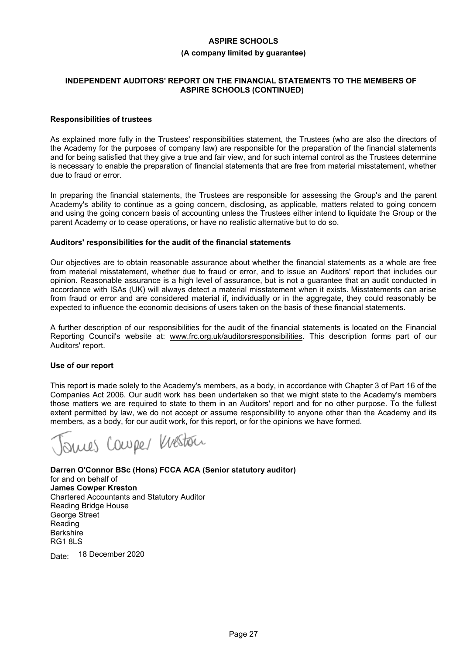#### **(A company limited by guarantee)**

#### **INDEPENDENT AUDITORS' REPORT ON THE FINANCIAL STATEMENTS TO THE MEMBERS OF ASPIRE SCHOOLS (CONTINUED)**

#### **Responsibilities of trustees**

As explained more fully in the Trustees' responsibilities statement, the Trustees (who are also the directors of the Academy for the purposes of company law) are responsible for the preparation of the financial statements and for being satisfied that they give a true and fair view, and for such internal control as the Trustees determine is necessary to enable the preparation of financial statements that are free from material misstatement, whether due to fraud or error.

In preparing the financial statements, the Trustees are responsible for assessing the Group's and the parent Academy's ability to continue as a going concern, disclosing, as applicable, matters related to going concern and using the going concern basis of accounting unless the Trustees either intend to liquidate the Group or the parent Academy or to cease operations, or have no realistic alternative but to do so.

#### **Auditors' responsibilities for the audit of the financial statements**

Our objectives are to obtain reasonable assurance about whether the financial statements as a whole are free from material misstatement, whether due to fraud or error, and to issue an Auditors' report that includes our opinion. Reasonable assurance is a high level of assurance, but is not a guarantee that an audit conducted in accordance with ISAs (UK) will always detect a material misstatement when it exists. Misstatements can arise from fraud or error and are considered material if, individually or in the aggregate, they could reasonably be expected to influence the economic decisions of users taken on the basis of these financial statements.

A further description of our responsibilities for the audit of the financial statements is located on the Financial Reporting Council's website at: www.frc.org.uk/auditorsresponsibilities. This description forms part of our Auditors' report.

#### **Use of our report**

This report is made solely to the Academy's members, as a body, in accordance with Chapter 3 of Part 16 of the Companies Act 2006. Our audit work has been undertaken so that we might state to the Academy's members those matters we are required to state to them in an Auditors' report and for no other purpose. To the fullest extent permitted by law, we do not accept or assume responsibility to anyone other than the Academy and its members, as a body, for our audit work, for this report, or for the opinions we have formed.

suces Couper Weston

**Darren O'Connor BSc (Hons) FCCA ACA (Senior statutory auditor)** for and on behalf of **James Cowper Kreston** Chartered Accountants and Statutory Auditor Reading Bridge House George Street Reading **Berkshire** RG1 8LS

Date: 18 December 2020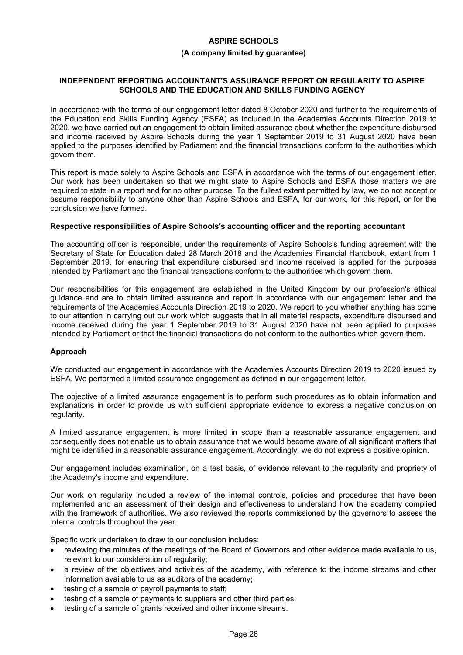# **(A company limited by guarantee)**

### **INDEPENDENT REPORTING ACCOUNTANT'S ASSURANCE REPORT ON REGULARITY TO ASPIRE SCHOOLS AND THE EDUCATION AND SKILLS FUNDING AGENCY**

In accordance with the terms of our engagement letter dated 8 October 2020 and further to the requirements of the Education and Skills Funding Agency (ESFA) as included in the Academies Accounts Direction 2019 to 2020, we have carried out an engagement to obtain limited assurance about whether the expenditure disbursed and income received by Aspire Schools during the year 1 September 2019 to 31 August 2020 have been applied to the purposes identified by Parliament and the financial transactions conform to the authorities which govern them.

This report is made solely to Aspire Schools and ESFA in accordance with the terms of our engagement letter. Our work has been undertaken so that we might state to Aspire Schools and ESFA those matters we are required to state in a report and for no other purpose. To the fullest extent permitted by law, we do not accept or assume responsibility to anyone other than Aspire Schools and ESFA, for our work, for this report, or for the conclusion we have formed.

#### **Respective responsibilities of Aspire Schools's accounting officer and the reporting accountant**

The accounting officer is responsible, under the requirements of Aspire Schools's funding agreement with the Secretary of State for Education dated 28 March 2018 and the Academies Financial Handbook, extant from 1 September 2019, for ensuring that expenditure disbursed and income received is applied for the purposes intended by Parliament and the financial transactions conform to the authorities which govern them.

Our responsibilities for this engagement are established in the United Kingdom by our profession's ethical guidance and are to obtain limited assurance and report in accordance with our engagement letter and the requirements of the Academies Accounts Direction 2019 to 2020. We report to you whether anything has come to our attention in carrying out our work which suggests that in all material respects, expenditure disbursed and income received during the year 1 September 2019 to 31 August 2020 have not been applied to purposes intended by Parliament or that the financial transactions do not conform to the authorities which govern them.

#### **Approach**

We conducted our engagement in accordance with the Academies Accounts Direction 2019 to 2020 issued by ESFA. We performed a limited assurance engagement as defined in our engagement letter.

The objective of a limited assurance engagement is to perform such procedures as to obtain information and explanations in order to provide us with sufficient appropriate evidence to express a negative conclusion on regularity.

A limited assurance engagement is more limited in scope than a reasonable assurance engagement and consequently does not enable us to obtain assurance that we would become aware of all significant matters that might be identified in a reasonable assurance engagement. Accordingly, we do not express a positive opinion.

Our engagement includes examination, on a test basis, of evidence relevant to the regularity and propriety of the Academy's income and expenditure.

Our work on regularity included a review of the internal controls, policies and procedures that have been implemented and an assessment of their design and effectiveness to understand how the academy complied with the framework of authorities. We also reviewed the reports commissioned by the governors to assess the internal controls throughout the year.

Specific work undertaken to draw to our conclusion includes:

- reviewing the minutes of the meetings of the Board of Governors and other evidence made available to us, relevant to our consideration of regularity;
- a review of the objectives and activities of the academy, with reference to the income streams and other information available to us as auditors of the academy;
- testing of a sample of payroll payments to staff;
- testing of a sample of payments to suppliers and other third parties;
- testing of a sample of grants received and other income streams.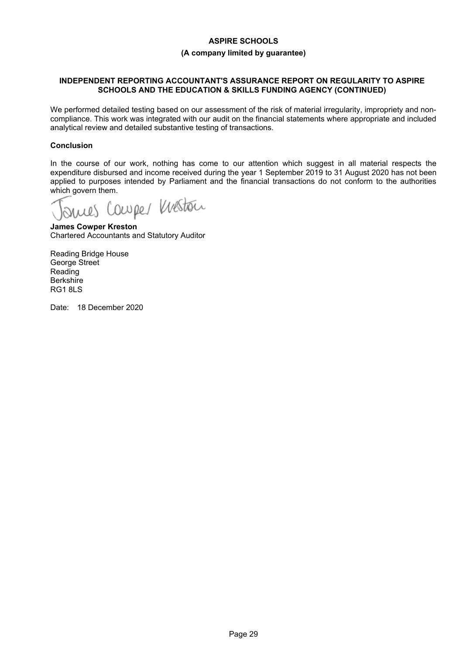### **(A company limited by guarantee)**

### **INDEPENDENT REPORTING ACCOUNTANT'S ASSURANCE REPORT ON REGULARITY TO ASPIRE SCHOOLS AND THE EDUCATION & SKILLS FUNDING AGENCY (CONTINUED)**

We performed detailed testing based on our assessment of the risk of material irregularity, impropriety and noncompliance. This work was integrated with our audit on the financial statements where appropriate and included analytical review and detailed substantive testing of transactions.

# **Conclusion**

In the course of our work, nothing has come to our attention which suggest in all material respects the expenditure disbursed and income received during the year 1 September 2019 to 31 August 2020 has not been applied to purposes intended by Parliament and the financial transactions do not conform to the authorities

which govern them.<br>Journes Courpes Weston

**James Cowper Kreston** Chartered Accountants and Statutory Auditor

Reading Bridge House George Street Reading **Berkshire** RG1 8LS

Date: 18 December 2020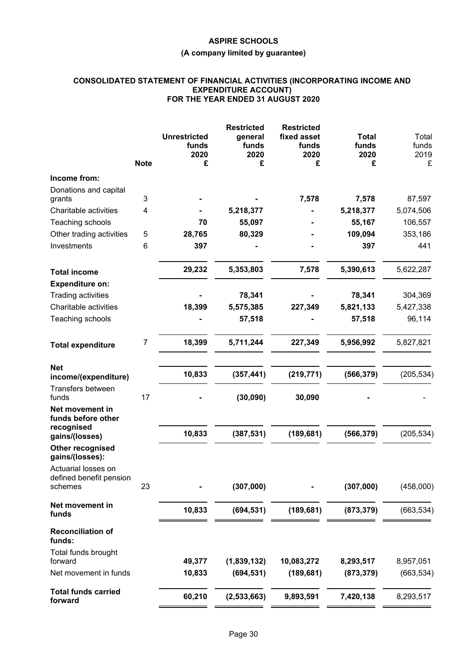# **(A company limited by guarantee)**

#### **CONSOLIDATED STATEMENT OF FINANCIAL ACTIVITIES (INCORPORATING INCOME AND EXPENDITURE ACCOUNT) FOR THE YEAR ENDED 31 AUGUST 2020**

|                                                           | <b>Note</b> | <b>Unrestricted</b><br>funds<br>2020<br>£ | <b>Restricted</b><br>general<br>funds<br>2020<br>£ | <b>Restricted</b><br>fixed asset<br>funds<br>2020<br>£ | <b>Total</b><br>funds<br>2020<br>£ | Total<br>funds<br>2019<br>£ |
|-----------------------------------------------------------|-------------|-------------------------------------------|----------------------------------------------------|--------------------------------------------------------|------------------------------------|-----------------------------|
| Income from:                                              |             |                                           |                                                    |                                                        |                                    |                             |
| Donations and capital                                     |             |                                           |                                                    |                                                        |                                    |                             |
| grants                                                    | 3           |                                           |                                                    | 7,578                                                  | 7,578                              | 87,597                      |
| Charitable activities                                     | 4           |                                           | 5,218,377                                          |                                                        | 5,218,377                          | 5,074,506                   |
| Teaching schools                                          |             | 70                                        | 55,097                                             |                                                        | 55,167                             | 106,557                     |
| Other trading activities                                  | 5           | 28,765                                    | 80,329                                             |                                                        | 109,094                            | 353,186                     |
| Investments                                               | 6           | 397                                       |                                                    |                                                        | 397                                | 441                         |
| <b>Total income</b><br><b>Expenditure on:</b>             |             | 29,232                                    | 5,353,803                                          | 7,578                                                  | 5,390,613                          | 5,622,287                   |
| <b>Trading activities</b>                                 |             |                                           | 78,341                                             |                                                        | 78,341                             | 304,369                     |
| Charitable activities                                     |             | 18,399                                    | 5,575,385                                          | 227,349                                                | 5,821,133                          | 5,427,338                   |
| Teaching schools                                          |             |                                           | 57,518                                             |                                                        | 57,518                             | 96,114                      |
| <b>Total expenditure</b>                                  | 7           | 18,399                                    | 5,711,244                                          | 227,349                                                | 5,956,992                          | 5,827,821                   |
| <b>Net</b>                                                |             | 10,833                                    | (357, 441)                                         | (219, 771)                                             | (566, 379)                         | (205, 534)                  |
| income/(expenditure)                                      |             |                                           |                                                    |                                                        |                                    |                             |
| Transfers between<br>funds                                | 17          |                                           | (30,090)                                           | 30,090                                                 |                                    |                             |
| Net movement in<br>funds before other<br>recognised       |             |                                           |                                                    |                                                        |                                    |                             |
| gains/(losses)                                            |             | 10,833                                    | (387, 531)                                         | (189, 681)                                             | (566, 379)                         | (205, 534)                  |
| <b>Other recognised</b><br>gains/(losses):                |             |                                           |                                                    |                                                        |                                    |                             |
| Actuarial losses on<br>defined benefit pension<br>schemes | 23          |                                           | (307,000)                                          |                                                        | (307,000)                          | (458,000)                   |
| Net movement in<br>funds                                  |             | 10,833                                    | (694, 531)                                         | (189, 681)                                             | (873, 379)                         | (663, 534)                  |
| <b>Reconciliation of</b><br>funds:                        |             |                                           |                                                    |                                                        |                                    |                             |
| Total funds brought<br>forward                            |             | 49,377                                    | (1,839,132)                                        | 10,083,272                                             | 8,293,517                          | 8,957,051                   |
| Net movement in funds                                     |             | 10,833                                    | (694, 531)                                         | (189, 681)                                             | (873, 379)                         | (663, 534)                  |
|                                                           |             |                                           |                                                    |                                                        |                                    |                             |
| <b>Total funds carried</b><br>forward                     |             | 60,210                                    | (2,533,663)                                        | 9,893,591                                              | 7,420,138                          | 8,293,517                   |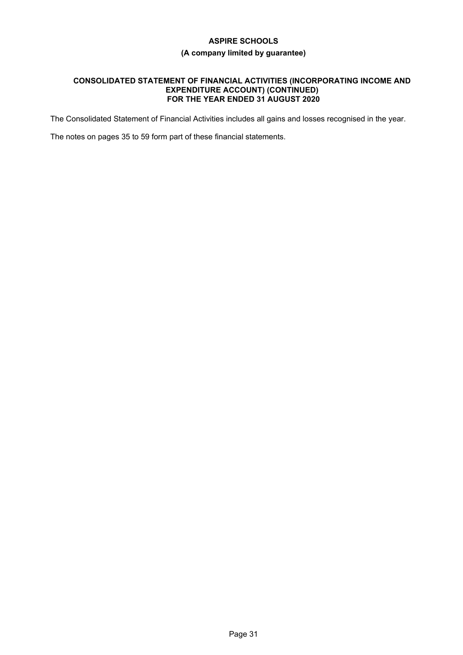# **(A company limited by guarantee)**

#### **CONSOLIDATED STATEMENT OF FINANCIAL ACTIVITIES (INCORPORATING INCOME AND EXPENDITURE ACCOUNT) (CONTINUED) FOR THE YEAR ENDED 31 AUGUST 2020**

The Consolidated Statement of Financial Activities includes all gains and losses recognised in the year.

The notes on pages 35 to 59 form part of these financial statements.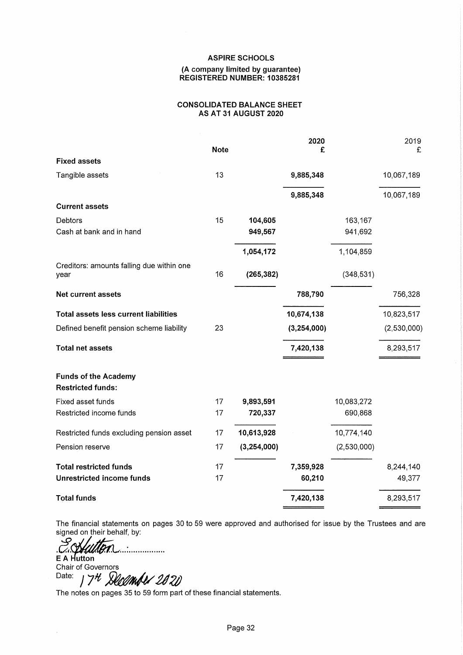#### (A company limited by guarantee) REGISTERED NUMBER: 10385281

#### **CONSOLIDATED BALANCE SHEET** AS AT 31 AUGUST 2020

|                                                   | <b>Note</b> |               | 2020<br>£   |             | 2019<br>£   |
|---------------------------------------------------|-------------|---------------|-------------|-------------|-------------|
| <b>Fixed assets</b>                               |             |               |             |             |             |
| Tangible assets                                   | 13          |               | 9,885,348   |             | 10,067,189  |
|                                                   |             |               | 9,885,348   |             | 10,067,189  |
| <b>Current assets</b>                             |             |               |             |             |             |
| Debtors                                           | 15          | 104,605       |             | 163,167     |             |
| Cash at bank and in hand                          |             | 949,567       |             | 941,692     |             |
|                                                   |             | 1,054,172     |             | 1,104,859   |             |
| Creditors: amounts falling due within one<br>year | 16          | (265, 382)    |             | (348, 531)  |             |
|                                                   |             |               |             |             |             |
| <b>Net current assets</b>                         |             |               | 788,790     |             | 756,328     |
| <b>Total assets less current liabilities</b>      |             |               | 10,674,138  |             | 10,823,517  |
| Defined benefit pension scheme liability          | 23          |               | (3,254,000) |             | (2,530,000) |
| <b>Total net assets</b>                           |             |               | 7,420,138   |             | 8,293,517   |
| <b>Funds of the Academy</b>                       |             |               |             |             |             |
| <b>Restricted funds:</b>                          |             |               |             |             |             |
| Fixed asset funds                                 | 17          | 9,893,591     |             | 10,083,272  |             |
| Restricted income funds                           | 17          | 720,337       |             | 690,868     |             |
| Restricted funds excluding pension asset          | 17          | 10,613,928    |             | 10,774,140  |             |
| Pension reserve                                   | 17          | (3, 254, 000) |             | (2,530,000) |             |
| <b>Total restricted funds</b>                     | 17          |               | 7,359,928   |             | 8,244,140   |
| <b>Unrestricted income funds</b>                  | 17          |               | 60,210      |             | 49,377      |
| <b>Total funds</b>                                |             |               | 7,420,138   |             | 8,293,517   |

The financial statements on pages 30 to 59 were approved and authorised for issue by the Trustees and are signed on their behalf, by:

ڝ E A Hutton Chair of Governors

Date: 7th December 2020

The notes on pages 35 to 59 form part of these financial statements.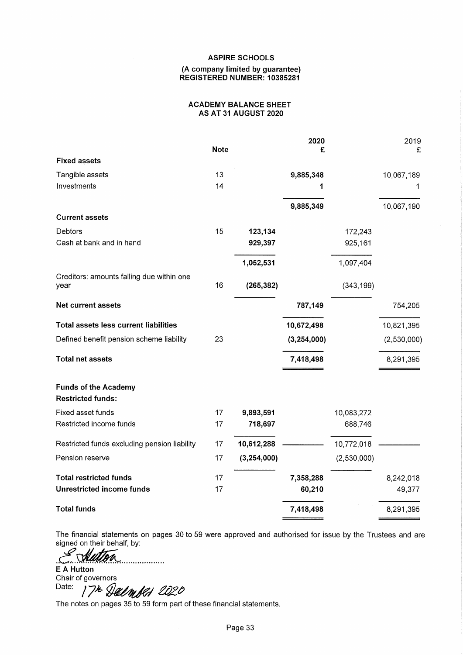#### (A company limited by guarantee) REGISTERED NUMBER: 10385281

#### **ACADEMY BALANCE SHEET** AS AT 31 AUGUST 2020

|                                                         |             |             | 2020        |             | 2019        |
|---------------------------------------------------------|-------------|-------------|-------------|-------------|-------------|
|                                                         | <b>Note</b> |             | £           |             | £           |
| <b>Fixed assets</b>                                     |             |             |             |             |             |
| Tangible assets                                         | 13          |             | 9,885,348   |             | 10,067,189  |
| Investments                                             | 14          |             |             |             | 1           |
|                                                         |             |             | 9,885,349   |             | 10,067,190  |
| <b>Current assets</b>                                   |             |             |             |             |             |
| Debtors                                                 | 15          | 123,134     |             | 172,243     |             |
| Cash at bank and in hand                                |             | 929,397     |             | 925,161     |             |
|                                                         |             | 1,052,531   |             | 1,097,404   |             |
| Creditors: amounts falling due within one               |             |             |             |             |             |
| year                                                    | 16          | (265, 382)  |             | (343, 199)  |             |
| <b>Net current assets</b>                               |             |             | 787,149     |             | 754,205     |
| <b>Total assets less current liabilities</b>            |             |             | 10,672,498  |             | 10,821,395  |
| Defined benefit pension scheme liability                | 23          |             | (3,254,000) |             | (2,530,000) |
| <b>Total net assets</b>                                 |             |             | 7,418,498   |             | 8,291,395   |
| <b>Funds of the Academy</b><br><b>Restricted funds:</b> |             |             |             |             |             |
| Fixed asset funds                                       | 17          | 9,893,591   |             | 10,083,272  |             |
| Restricted income funds                                 | 17          | 718,697     |             | 688,746     |             |
| Restricted funds excluding pension liability            | 17          | 10,612,288  |             | 10,772,018  |             |
| Pension reserve                                         | 17          | (3,254,000) |             | (2,530,000) |             |
| <b>Total restricted funds</b>                           | 17          |             | 7,358,288   |             | 8,242,018   |
| <b>Unrestricted income funds</b>                        | 17          |             | 60,210      |             | 49,377      |
| <b>Total funds</b>                                      |             |             | 7,418,498   |             | 8,291,395   |

The financial statements on pages 30 to 59 were approved and authorised for issue by the Trustees and are signed on their behalf, by:

Se Autor . . . . . . . . . . . . . . . . . . .

**E** A Hutton Chair of governors Date: 17th Delmber 2020

The notes on pages 35 to 59 form part of these financial statements.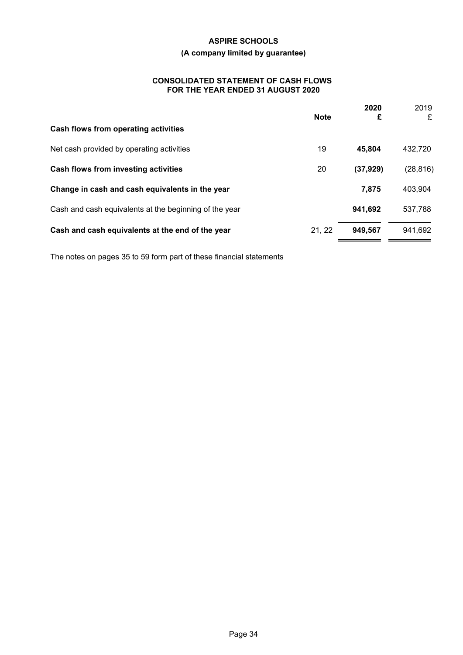# **(A company limited by guarantee)**

### **CONSOLIDATED STATEMENT OF CASH FLOWS FOR THE YEAR ENDED 31 AUGUST 2020**

|                                                        | <b>Note</b> | 2020<br>£ | 2019<br>£ |
|--------------------------------------------------------|-------------|-----------|-----------|
| Cash flows from operating activities                   |             |           |           |
| Net cash provided by operating activities              | 19          | 45,804    | 432,720   |
| Cash flows from investing activities                   | 20          | (37, 929) | (28, 816) |
| Change in cash and cash equivalents in the year        |             | 7,875     | 403,904   |
| Cash and cash equivalents at the beginning of the year |             | 941,692   | 537,788   |
| Cash and cash equivalents at the end of the year       | 21, 22      | 949,567   | 941,692   |
|                                                        |             |           |           |

The notes on pages 35 to 59 form part of these financial statements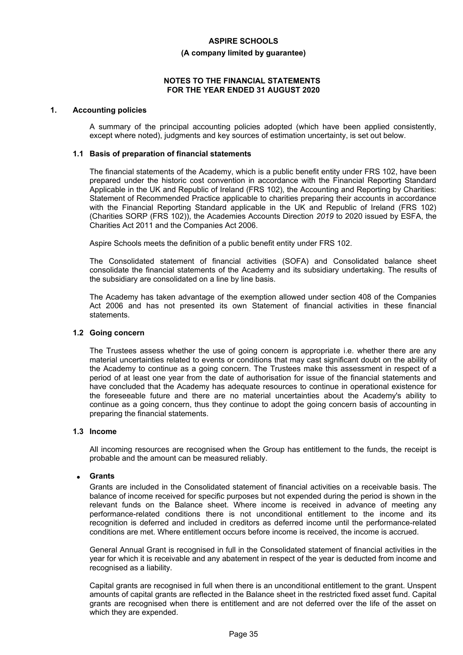#### **(A company limited by guarantee)**

#### **NOTES TO THE FINANCIAL STATEMENTS FOR THE YEAR ENDED 31 AUGUST 2020**

### **1. Accounting policies**

A summary of the principal accounting policies adopted (which have been applied consistently, except where noted), judgments and key sources of estimation uncertainty, is set out below.

#### **1.1 Basis of preparation of financial statements**

The financial statements of the Academy, which is a public benefit entity under FRS 102, have been prepared under the historic cost convention in accordance with the Financial Reporting Standard Applicable in the UK and Republic of Ireland (FRS 102), the Accounting and Reporting by Charities: Statement of Recommended Practice applicable to charities preparing their accounts in accordance with the Financial Reporting Standard applicable in the UK and Republic of Ireland (FRS 102) (Charities SORP (FRS 102)), the Academies Accounts Direction *2019* to 2020 issued by ESFA, the Charities Act 2011 and the Companies Act 2006.

Aspire Schools meets the definition of a public benefit entity under FRS 102.

The Consolidated statement of financial activities (SOFA) and Consolidated balance sheet consolidate the financial statements of the Academy and its subsidiary undertaking. The results of the subsidiary are consolidated on a line by line basis.

The Academy has taken advantage of the exemption allowed under section 408 of the Companies Act 2006 and has not presented its own Statement of financial activities in these financial statements.

#### **1.2 Going concern**

The Trustees assess whether the use of going concern is appropriate i.e. whether there are any material uncertainties related to events or conditions that may cast significant doubt on the ability of the Academy to continue as a going concern. The Trustees make this assessment in respect of a period of at least one year from the date of authorisation for issue of the financial statements and have concluded that the Academy has adequate resources to continue in operational existence for the foreseeable future and there are no material uncertainties about the Academy's ability to continue as a going concern, thus they continue to adopt the going concern basis of accounting in preparing the financial statements.

### **1.3 Income**

All incoming resources are recognised when the Group has entitlement to the funds, the receipt is probable and the amount can be measured reliably.

#### **Grants**

Grants are included in the Consolidated statement of financial activities on a receivable basis. The balance of income received for specific purposes but not expended during the period is shown in the relevant funds on the Balance sheet. Where income is received in advance of meeting any performance-related conditions there is not unconditional entitlement to the income and its recognition is deferred and included in creditors as deferred income until the performance-related conditions are met. Where entitlement occurs before income is received, the income is accrued.

General Annual Grant is recognised in full in the Consolidated statement of financial activities in the year for which it is receivable and any abatement in respect of the year is deducted from income and recognised as a liability.

Capital grants are recognised in full when there is an unconditional entitlement to the grant. Unspent amounts of capital grants are reflected in the Balance sheet in the restricted fixed asset fund. Capital grants are recognised when there is entitlement and are not deferred over the life of the asset on which they are expended.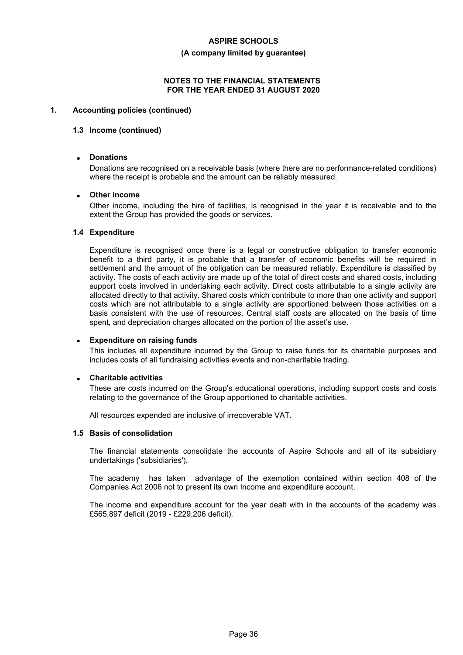#### **(A company limited by guarantee)**

#### **NOTES TO THE FINANCIAL STATEMENTS FOR THE YEAR ENDED 31 AUGUST 2020**

# **1. Accounting policies (continued)**

#### **1.3 Income (continued)**

#### **Donations**

Donations are recognised on a receivable basis (where there are no performance-related conditions) where the receipt is probable and the amount can be reliably measured.

#### **Other income**

Other income, including the hire of facilities, is recognised in the year it is receivable and to the extent the Group has provided the goods or services.

#### **1.4 Expenditure**

Expenditure is recognised once there is a legal or constructive obligation to transfer economic benefit to a third party, it is probable that a transfer of economic benefits will be required in settlement and the amount of the obligation can be measured reliably. Expenditure is classified by activity. The costs of each activity are made up of the total of direct costs and shared costs, including support costs involved in undertaking each activity. Direct costs attributable to a single activity are allocated directly to that activity. Shared costs which contribute to more than one activity and support costs which are not attributable to a single activity are apportioned between those activities on a basis consistent with the use of resources. Central staff costs are allocated on the basis of time spent, and depreciation charges allocated on the portion of the asset's use.

#### **Expenditure on raising funds**

This includes all expenditure incurred by the Group to raise funds for its charitable purposes and includes costs of all fundraising activities events and non-charitable trading.

#### **Charitable activities**

These are costs incurred on the Group's educational operations, including support costs and costs relating to the governance of the Group apportioned to charitable activities.

All resources expended are inclusive of irrecoverable VAT.

#### **1.5 Basis of consolidation**

The financial statements consolidate the accounts of Aspire Schools and all of its subsidiary undertakings ('subsidiaries').

The academy has taken advantage of the exemption contained within section 408 of the Companies Act 2006 not to present its own Income and expenditure account.

The income and expenditure account for the year dealt with in the accounts of the academy was £565,897 deficit (2019 - £229,206 deficit).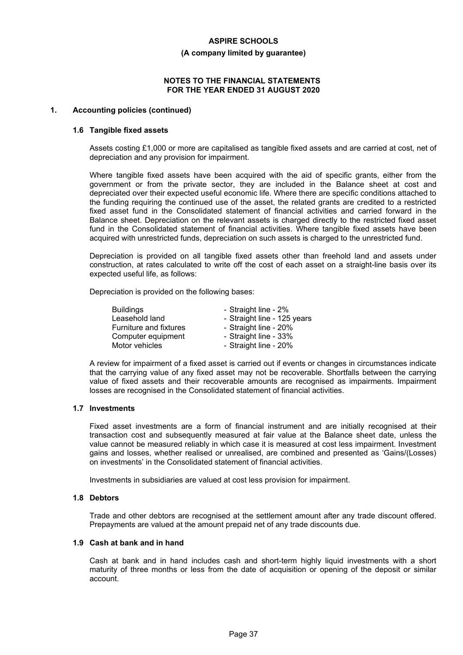#### **(A company limited by guarantee)**

#### **NOTES TO THE FINANCIAL STATEMENTS FOR THE YEAR ENDED 31 AUGUST 2020**

#### **1. Accounting policies (continued)**

#### **1.6 Tangible fixed assets**

Assets costing £1,000 or more are capitalised as tangible fixed assets and are carried at cost, net of depreciation and any provision for impairment.

Where tangible fixed assets have been acquired with the aid of specific grants, either from the government or from the private sector, they are included in the Balance sheet at cost and depreciated over their expected useful economic life. Where there are specific conditions attached to the funding requiring the continued use of the asset, the related grants are credited to a restricted fixed asset fund in the Consolidated statement of financial activities and carried forward in the Balance sheet. Depreciation on the relevant assets is charged directly to the restricted fixed asset fund in the Consolidated statement of financial activities. Where tangible fixed assets have been acquired with unrestricted funds, depreciation on such assets is charged to the unrestricted fund.

Depreciation is provided on all tangible fixed assets other than freehold land and assets under construction, at rates calculated to write off the cost of each asset on a straight-line basis over its expected useful life, as follows:

Depreciation is provided on the following bases:

| Buildings              | - Straight line - 2%        |
|------------------------|-----------------------------|
| Leasehold land         | - Straight line - 125 years |
| Furniture and fixtures | - Straight line - 20%       |
| Computer equipment     | - Straight line - 33%       |
| Motor vehicles         | - Straight line - 20%       |

A review for impairment of a fixed asset is carried out if events or changes in circumstances indicate that the carrying value of any fixed asset may not be recoverable. Shortfalls between the carrying value of fixed assets and their recoverable amounts are recognised as impairments. Impairment losses are recognised in the Consolidated statement of financial activities.

#### **1.7 Investments**

Fixed asset investments are a form of financial instrument and are initially recognised at their transaction cost and subsequently measured at fair value at the Balance sheet date, unless the value cannot be measured reliably in which case it is measured at cost less impairment. Investment gains and losses, whether realised or unrealised, are combined and presented as 'Gains/(Losses) on investments' in the Consolidated statement of financial activities.

Investments in subsidiaries are valued at cost less provision for impairment.

#### **1.8 Debtors**

Trade and other debtors are recognised at the settlement amount after any trade discount offered. Prepayments are valued at the amount prepaid net of any trade discounts due.

# **1.9 Cash at bank and in hand**

Cash at bank and in hand includes cash and short-term highly liquid investments with a short maturity of three months or less from the date of acquisition or opening of the deposit or similar account.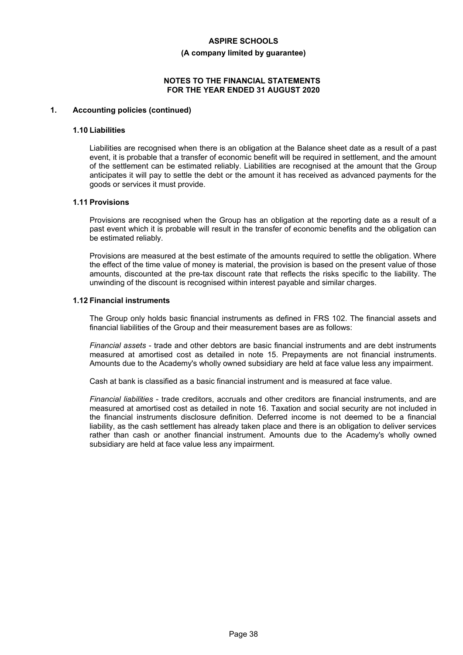#### **(A company limited by guarantee)**

#### **NOTES TO THE FINANCIAL STATEMENTS FOR THE YEAR ENDED 31 AUGUST 2020**

#### **1. Accounting policies (continued)**

#### **1.10 Liabilities**

Liabilities are recognised when there is an obligation at the Balance sheet date as a result of a past event, it is probable that a transfer of economic benefit will be required in settlement, and the amount of the settlement can be estimated reliably. Liabilities are recognised at the amount that the Group anticipates it will pay to settle the debt or the amount it has received as advanced payments for the goods or services it must provide.

# **1.11 Provisions**

Provisions are recognised when the Group has an obligation at the reporting date as a result of a past event which it is probable will result in the transfer of economic benefits and the obligation can be estimated reliably.

Provisions are measured at the best estimate of the amounts required to settle the obligation. Where the effect of the time value of money is material, the provision is based on the present value of those amounts, discounted at the pre-tax discount rate that reflects the risks specific to the liability. The unwinding of the discount is recognised within interest payable and similar charges.

#### **1.12 Financial instruments**

The Group only holds basic financial instruments as defined in FRS 102. The financial assets and financial liabilities of the Group and their measurement bases are as follows:

*Financial assets* - trade and other debtors are basic financial instruments and are debt instruments measured at amortised cost as detailed in note 15. Prepayments are not financial instruments. Amounts due to the Academy's wholly owned subsidiary are held at face value less any impairment.

Cash at bank is classified as a basic financial instrument and is measured at face value.

*Financial liabilities* - trade creditors, accruals and other creditors are financial instruments, and are measured at amortised cost as detailed in note 16. Taxation and social security are not included in the financial instruments disclosure definition. Deferred income is not deemed to be a financial liability, as the cash settlement has already taken place and there is an obligation to deliver services rather than cash or another financial instrument. Amounts due to the Academy's wholly owned subsidiary are held at face value less any impairment.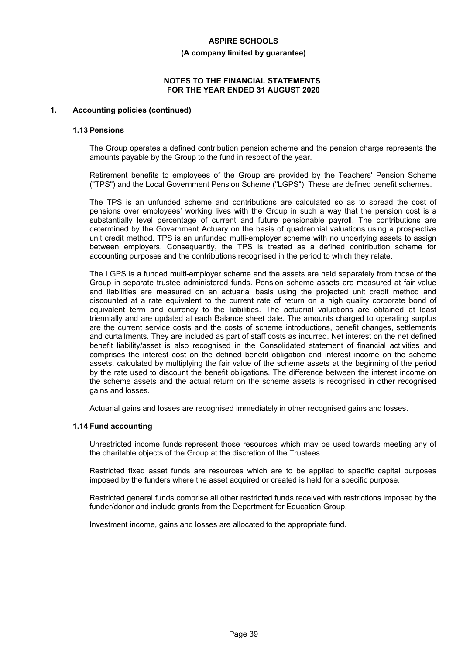#### **(A company limited by guarantee)**

#### **NOTES TO THE FINANCIAL STATEMENTS FOR THE YEAR ENDED 31 AUGUST 2020**

# **1. Accounting policies (continued)**

#### **1.13 Pensions**

The Group operates a defined contribution pension scheme and the pension charge represents the amounts payable by the Group to the fund in respect of the year.

Retirement benefits to employees of the Group are provided by the Teachers' Pension Scheme ("TPS") and the Local Government Pension Scheme ("LGPS"). These are defined benefit schemes.

The TPS is an unfunded scheme and contributions are calculated so as to spread the cost of pensions over employees' working lives with the Group in such a way that the pension cost is a substantially level percentage of current and future pensionable payroll. The contributions are determined by the Government Actuary on the basis of quadrennial valuations using a prospective unit credit method. TPS is an unfunded multi-employer scheme with no underlying assets to assign between employers. Consequently, the TPS is treated as a defined contribution scheme for accounting purposes and the contributions recognised in the period to which they relate.

The LGPS is a funded multi-employer scheme and the assets are held separately from those of the Group in separate trustee administered funds. Pension scheme assets are measured at fair value and liabilities are measured on an actuarial basis using the projected unit credit method and discounted at a rate equivalent to the current rate of return on a high quality corporate bond of equivalent term and currency to the liabilities. The actuarial valuations are obtained at least triennially and are updated at each Balance sheet date. The amounts charged to operating surplus are the current service costs and the costs of scheme introductions, benefit changes, settlements and curtailments. They are included as part of staff costs as incurred. Net interest on the net defined benefit liability/asset is also recognised in the Consolidated statement of financial activities and comprises the interest cost on the defined benefit obligation and interest income on the scheme assets, calculated by multiplying the fair value of the scheme assets at the beginning of the period by the rate used to discount the benefit obligations. The difference between the interest income on the scheme assets and the actual return on the scheme assets is recognised in other recognised gains and losses.

Actuarial gains and losses are recognised immediately in other recognised gains and losses.

#### **1.14 Fund accounting**

Unrestricted income funds represent those resources which may be used towards meeting any of the charitable objects of the Group at the discretion of the Trustees.

Restricted fixed asset funds are resources which are to be applied to specific capital purposes imposed by the funders where the asset acquired or created is held for a specific purpose.

Restricted general funds comprise all other restricted funds received with restrictions imposed by the funder/donor and include grants from the Department for Education Group.

Investment income, gains and losses are allocated to the appropriate fund.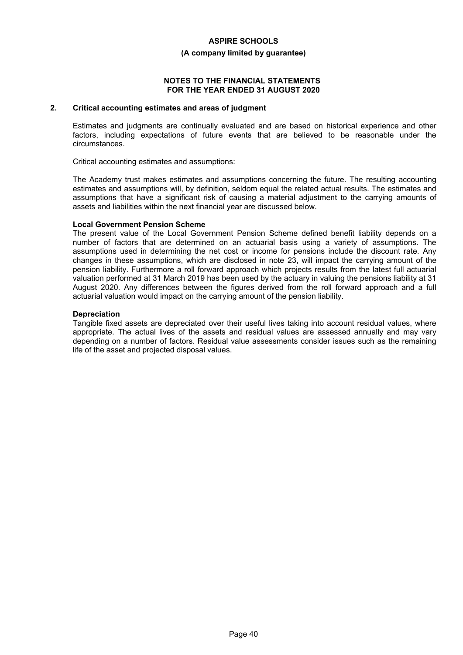#### **(A company limited by guarantee)**

#### **NOTES TO THE FINANCIAL STATEMENTS FOR THE YEAR ENDED 31 AUGUST 2020**

### **2. Critical accounting estimates and areas of judgment**

Estimates and judgments are continually evaluated and are based on historical experience and other factors, including expectations of future events that are believed to be reasonable under the circumstances.

Critical accounting estimates and assumptions:

The Academy trust makes estimates and assumptions concerning the future. The resulting accounting estimates and assumptions will, by definition, seldom equal the related actual results. The estimates and assumptions that have a significant risk of causing a material adjustment to the carrying amounts of assets and liabilities within the next financial year are discussed below.

#### **Local Government Pension Scheme**

The present value of the Local Government Pension Scheme defined benefit liability depends on a number of factors that are determined on an actuarial basis using a variety of assumptions. The assumptions used in determining the net cost or income for pensions include the discount rate. Any changes in these assumptions, which are disclosed in note 23, will impact the carrying amount of the pension liability. Furthermore a roll forward approach which projects results from the latest full actuarial valuation performed at 31 March 2019 has been used by the actuary in valuing the pensions liability at 31 August 2020. Any differences between the figures derived from the roll forward approach and a full actuarial valuation would impact on the carrying amount of the pension liability.

#### **Depreciation**

Tangible fixed assets are depreciated over their useful lives taking into account residual values, where appropriate. The actual lives of the assets and residual values are assessed annually and may vary depending on a number of factors. Residual value assessments consider issues such as the remaining life of the asset and projected disposal values.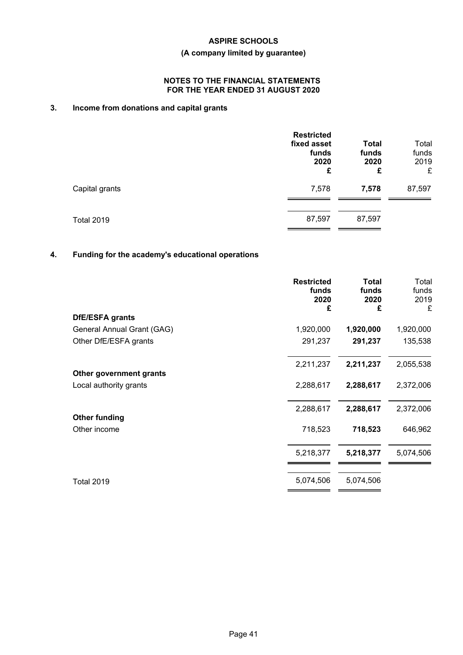# **(A company limited by guarantee)**

# **NOTES TO THE FINANCIAL STATEMENTS FOR THE YEAR ENDED 31 AUGUST 2020**

# **3. Income from donations and capital grants**

|                   | <b>Restricted</b><br>fixed asset<br>funds<br>2020<br>£ | <b>Total</b><br>funds<br>2020<br>£ | Total<br>funds<br>2019<br>£ |
|-------------------|--------------------------------------------------------|------------------------------------|-----------------------------|
| Capital grants    | 7,578                                                  | 7,578                              | 87,597                      |
| <b>Total 2019</b> | 87,597                                                 | 87,597                             |                             |

# **4. Funding for the academy's educational operations**

|                                      | <b>Restricted</b><br>funds<br>2020<br>£ | <b>Total</b><br>funds<br>2020<br>£ | Total<br>funds<br>2019<br>£ |
|--------------------------------------|-----------------------------------------|------------------------------------|-----------------------------|
| DfE/ESFA grants                      |                                         |                                    |                             |
| General Annual Grant (GAG)           | 1,920,000                               | 1,920,000                          | 1,920,000                   |
| Other DfE/ESFA grants                | 291,237                                 | 291,237                            | 135,538                     |
| Other government grants              | 2,211,237                               | 2,211,237                          | 2,055,538                   |
| Local authority grants               | 2,288,617                               | 2,288,617                          | 2,372,006                   |
|                                      | 2,288,617                               | 2,288,617                          | 2,372,006                   |
| <b>Other funding</b><br>Other income | 718,523                                 | 718,523                            | 646,962                     |
|                                      | 5,218,377                               | 5,218,377                          | 5,074,506                   |
| <b>Total 2019</b>                    | 5,074,506                               | 5,074,506                          |                             |
|                                      |                                         |                                    |                             |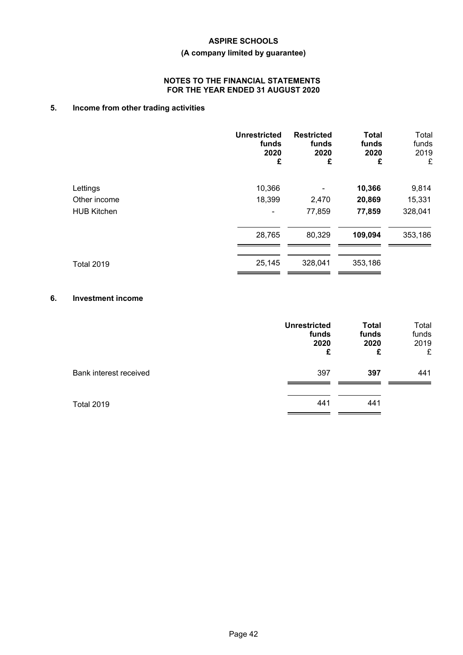# **(A company limited by guarantee)**

# **NOTES TO THE FINANCIAL STATEMENTS FOR THE YEAR ENDED 31 AUGUST 2020**

# **5. Income from other trading activities**

|                    | <b>Unrestricted</b><br>funds<br>2020<br>£ | <b>Restricted</b><br>funds<br>2020<br>£ | <b>Total</b><br>funds<br>2020<br>£ | Total<br>funds<br>2019<br>£ |
|--------------------|-------------------------------------------|-----------------------------------------|------------------------------------|-----------------------------|
| Lettings           | 10,366                                    |                                         | 10,366                             | 9,814                       |
| Other income       | 18,399                                    | 2,470                                   | 20,869                             | 15,331                      |
| <b>HUB Kitchen</b> |                                           | 77,859                                  | 77,859                             | 328,041                     |
|                    | 28,765                                    | 80,329                                  | 109,094                            | 353,186                     |
| <b>Total 2019</b>  | 25,145                                    | 328,041                                 | 353,186                            |                             |

# **6. Investment income**

|                        | <b>Unrestricted</b><br>funds<br>2020<br>£ | <b>Total</b><br>funds<br>2020<br>£ | Total<br>funds<br>2019<br>£ |
|------------------------|-------------------------------------------|------------------------------------|-----------------------------|
| Bank interest received | 397                                       | 397                                | 441                         |
| <b>Total 2019</b>      | 441                                       | 441                                |                             |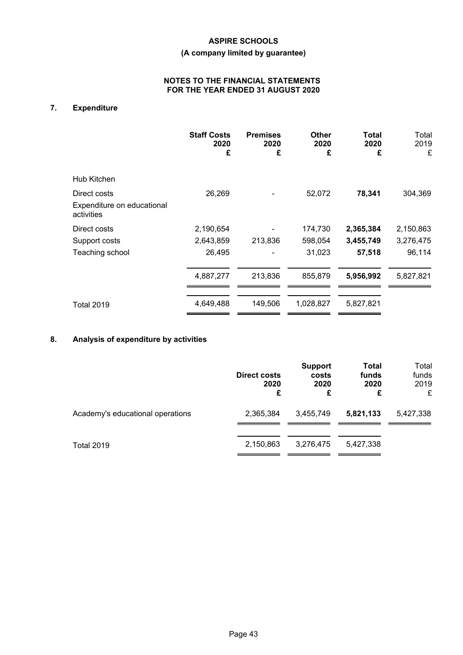# **(A company limited by guarantee)**

# **NOTES TO THE FINANCIAL STATEMENTS FOR THE YEAR ENDED 31 AUGUST 2020**

# **7. Expenditure**

|                                                          | <b>Staff Costs</b><br>2020<br>£ | <b>Premises</b><br>2020<br>£ | Other<br>2020<br>£ | <b>Total</b><br>2020<br>£ | Total<br>2019<br>£ |
|----------------------------------------------------------|---------------------------------|------------------------------|--------------------|---------------------------|--------------------|
| Hub Kitchen                                              |                                 |                              |                    |                           |                    |
| Direct costs<br>Expenditure on educational<br>activities | 26,269                          |                              | 52,072             | 78,341                    | 304,369            |
| Direct costs                                             | 2,190,654                       |                              | 174,730            | 2,365,384                 | 2,150,863          |
| Support costs                                            | 2,643,859                       | 213,836                      | 598,054            | 3,455,749                 | 3,276,475          |
| Teaching school                                          | 26,495                          |                              | 31,023             | 57,518                    | 96,114             |
|                                                          | 4,887,277                       | 213,836                      | 855,879            | 5,956,992                 | 5,827,821          |
| Total 2019                                               | 4,649,488                       | 149,506                      | 1,028,827          | 5,827,821                 |                    |

# **8. Analysis of expenditure by activities**

|                                  | Direct costs<br>2020<br>£ | <b>Support</b><br>costs<br>2020<br>£ | <b>Total</b><br>funds<br>2020<br>£ | Total<br>funds<br>2019<br>£ |
|----------------------------------|---------------------------|--------------------------------------|------------------------------------|-----------------------------|
| Academy's educational operations | 2,365,384                 | 3,455,749                            | 5,821,133                          | 5,427,338                   |
| <b>Total 2019</b>                | 2,150,863                 | 3,276,475                            | 5,427,338                          |                             |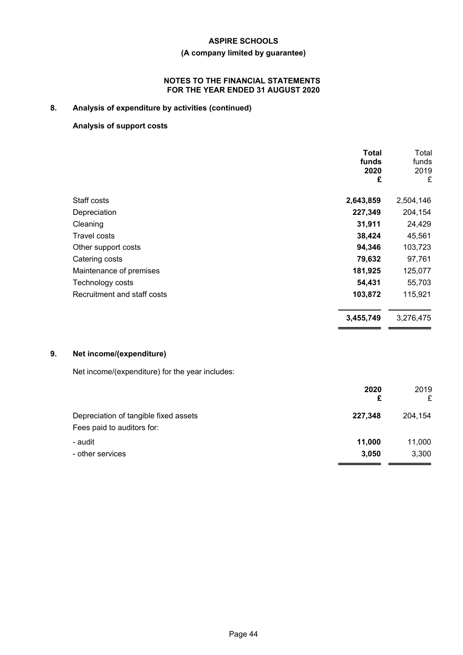# **(A company limited by guarantee)**

# **NOTES TO THE FINANCIAL STATEMENTS FOR THE YEAR ENDED 31 AUGUST 2020**

# **8. Analysis of expenditure by activities (continued)**

# **Analysis of support costs**

|                             | <b>Total</b><br>funds<br>2020<br>£ | Total<br>funds<br>2019<br>£ |
|-----------------------------|------------------------------------|-----------------------------|
| Staff costs                 | 2,643,859                          | 2,504,146                   |
| Depreciation                | 227,349                            | 204,154                     |
| Cleaning                    | 31,911                             | 24,429                      |
| <b>Travel costs</b>         | 38,424                             | 45,561                      |
| Other support costs         | 94,346                             | 103,723                     |
| Catering costs              | 79,632                             | 97,761                      |
| Maintenance of premises     | 181,925                            | 125,077                     |
| Technology costs            | 54,431                             | 55,703                      |
| Recruitment and staff costs | 103,872                            | 115,921                     |
|                             | 3,455,749                          | 3,276,475                   |

# **9. Net income/(expenditure)**

Net income/(expenditure) for the year includes:

| 2020    | 2019    |
|---------|---------|
| £       | £       |
| 227,348 | 204,154 |
| 11,000  | 11,000  |
| 3,050   | 3,300   |
|         |         |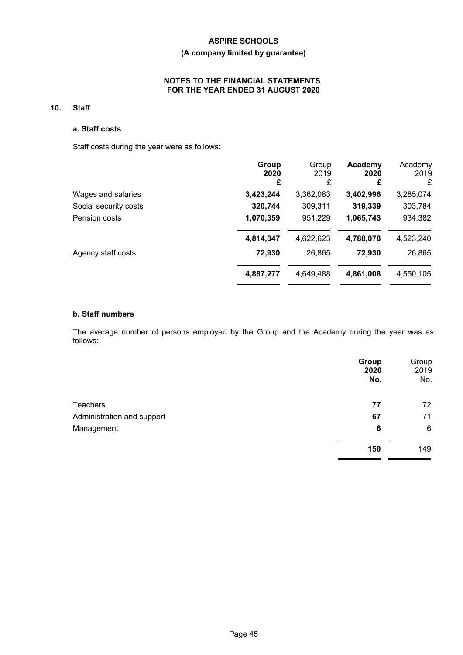# **(A company limited by guarantee)**

# **NOTES TO THE FINANCIAL STATEMENTS FOR THE YEAR ENDED 31 AUGUST 2020**

# **10. Staff**

### **a. Staff costs**

Staff costs during the year were as follows:

| Group<br>2020 | Group<br>2019 | Academy<br>2020 | Academy<br>2019 |
|---------------|---------------|-----------------|-----------------|
| £             | £             | £               | £               |
| 3,423,244     | 3,362,083     | 3,402,996       | 3,285,074       |
| 320,744       | 309,311       | 319,339         | 303,784         |
| 1,070,359     | 951,229       | 1,065,743       | 934,382         |
| 4,814,347     | 4,622,623     | 4,788,078       | 4,523,240       |
| 72,930        | 26,865        | 72,930          | 26,865          |
| 4,887,277     | 4,649,488     | 4,861,008       | 4,550,105       |
|               |               |                 |                 |

# **b. Staff numbers**

The average number of persons employed by the Group and the Academy during the year was as follows:

|                            | Group<br>2020<br>No. | Group<br>2019<br>No. |
|----------------------------|----------------------|----------------------|
| <b>Teachers</b>            | 77                   | 72                   |
| Administration and support | 67                   | 71                   |
| Management                 | 6                    | $6\phantom{1}6$      |
|                            | 150                  | 149                  |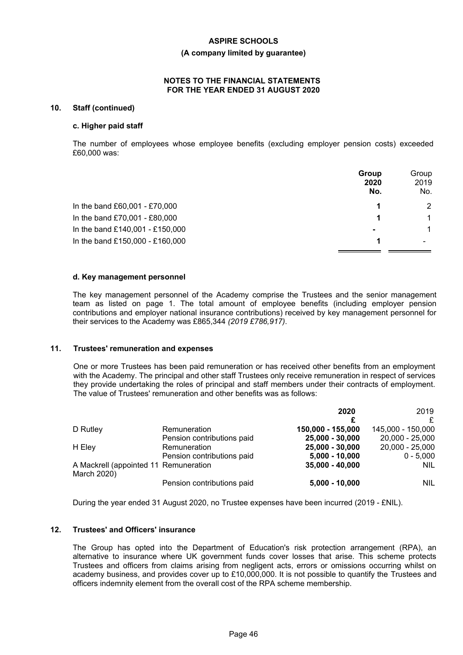#### **(A company limited by guarantee)**

#### **NOTES TO THE FINANCIAL STATEMENTS FOR THE YEAR ENDED 31 AUGUST 2020**

#### **10. Staff (continued)**

#### **c. Higher paid staff**

The number of employees whose employee benefits (excluding employer pension costs) exceeded £60,000 was:

|                                 | Group<br>2020<br>No. | Group<br>2019<br>No. |
|---------------------------------|----------------------|----------------------|
| In the band £60,001 - £70,000   | 1                    | 2                    |
| In the band £70,001 - £80,000   | 1                    | $\mathbf 1$          |
| In the band £140,001 - £150,000 | $\blacksquare$       | $\mathbf 1$          |
| In the band £150,000 - £160,000 | 1                    |                      |

#### **d. Key management personnel**

The key management personnel of the Academy comprise the Trustees and the senior management team as listed on page 1. The total amount of employee benefits (including employer pension contributions and employer national insurance contributions) received by key management personnel for their services to the Academy was £865,344 *(2019 £786,917)*.

#### **11. Trustees' remuneration and expenses**

One or more Trustees has been paid remuneration or has received other benefits from an employment with the Academy. The principal and other staff Trustees only receive remuneration in respect of services they provide undertaking the roles of principal and staff members under their contracts of employment. The value of Trustees' remuneration and other benefits was as follows:

|                                                      |                            | 2020              | 2019              |
|------------------------------------------------------|----------------------------|-------------------|-------------------|
| D Rutley                                             | Remuneration               | 150,000 - 155,000 | 145,000 - 150,000 |
|                                                      | Pension contributions paid | 25,000 - 30,000   | 20,000 - 25,000   |
| H Eley                                               | Remuneration               | 25,000 - 30,000   | 20,000 - 25,000   |
|                                                      | Pension contributions paid | $5,000 - 10,000$  | $0 - 5.000$       |
| A Mackrell (appointed 11 Remuneration<br>March 2020) |                            | $35,000 - 40,000$ | <b>NIL</b>        |
|                                                      | Pension contributions paid | $5,000 - 10,000$  | <b>NIL</b>        |

During the year ended 31 August 2020, no Trustee expenses have been incurred (2019 - £NIL).

#### **12. Trustees' and Officers' insurance**

The Group has opted into the Department of Education's risk protection arrangement (RPA), an alternative to insurance where UK government funds cover losses that arise. This scheme protects Trustees and officers from claims arising from negligent acts, errors or omissions occurring whilst on academy business, and provides cover up to £10,000,000. It is not possible to quantify the Trustees and officers indemnity element from the overall cost of the RPA scheme membership.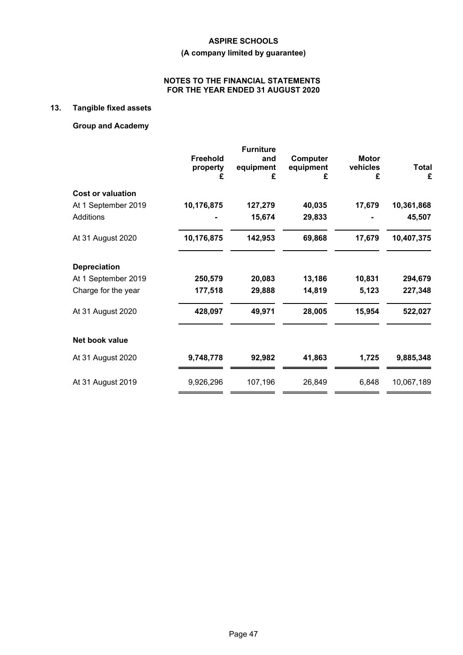# **(A company limited by guarantee)**

# **NOTES TO THE FINANCIAL STATEMENTS FOR THE YEAR ENDED 31 AUGUST 2020**

# **13. Tangible fixed assets**

# **Group and Academy**

|                          | <b>Freehold</b><br>property<br>£ | <b>Furniture</b><br>and<br>equipment<br>£ | Computer<br>equipment<br>£ | <b>Motor</b><br>vehicles<br>£ | <b>Total</b><br>£ |
|--------------------------|----------------------------------|-------------------------------------------|----------------------------|-------------------------------|-------------------|
| <b>Cost or valuation</b> |                                  |                                           |                            |                               |                   |
| At 1 September 2019      | 10,176,875                       | 127,279                                   | 40,035                     | 17,679                        | 10,361,868        |
| <b>Additions</b>         |                                  | 15,674                                    | 29,833                     |                               | 45,507            |
| At 31 August 2020        | 10,176,875                       | 142,953                                   | 69,868                     | 17,679                        | 10,407,375        |
| <b>Depreciation</b>      |                                  |                                           |                            |                               |                   |
| At 1 September 2019      | 250,579                          | 20,083                                    | 13,186                     | 10,831                        | 294,679           |
| Charge for the year      | 177,518                          | 29,888                                    | 14,819                     | 5,123                         | 227,348           |
| At 31 August 2020        | 428,097                          | 49,971                                    | 28,005                     | 15,954                        | 522,027           |
| Net book value           |                                  |                                           |                            |                               |                   |
| At 31 August 2020        | 9,748,778                        | 92,982                                    | 41,863                     | 1,725                         | 9,885,348         |
| At 31 August 2019        | 9,926,296                        | 107,196                                   | 26,849                     | 6,848                         | 10,067,189        |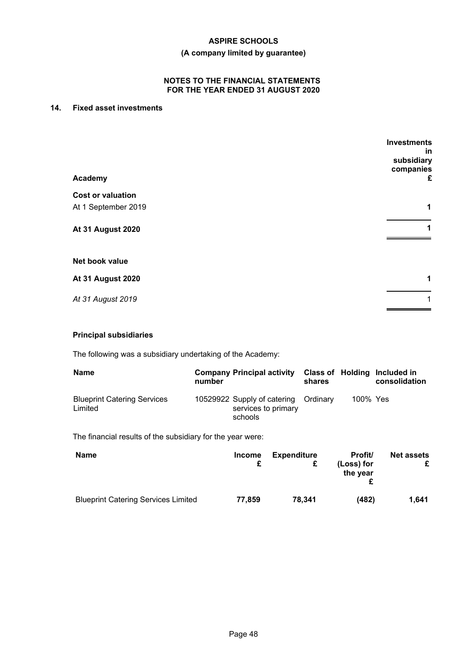# **(A company limited by guarantee)**

# **NOTES TO THE FINANCIAL STATEMENTS FOR THE YEAR ENDED 31 AUGUST 2020**

# **14. Fixed asset investments**

| Academy                  | <b>Investments</b><br>in<br>subsidiary<br>companies<br>£ |
|--------------------------|----------------------------------------------------------|
| <b>Cost or valuation</b> |                                                          |
| At 1 September 2019      | 1                                                        |
| <b>At 31 August 2020</b> | 1                                                        |
| Net book value           |                                                          |
| <b>At 31 August 2020</b> | 1                                                        |
| At 31 August 2019        | 1                                                        |

### **Principal subsidiaries**

The following was a subsidiary undertaking of the Academy:

| <b>Name</b>                                   | <b>Company Principal activity</b><br>number                            | shares |          | Class of Holding Included in<br>consolidation |
|-----------------------------------------------|------------------------------------------------------------------------|--------|----------|-----------------------------------------------|
| <b>Blueprint Catering Services</b><br>Limited | 10529922 Supply of catering Ordinary<br>services to primary<br>schools |        | 100% Yes |                                               |

The financial results of the subsidiary for the year were:

| <b>Name</b>                                | <b>Income</b> | <b>Expenditure</b><br>£ | Profit/<br>(Loss) for<br>the year | <b>Net assets</b> |
|--------------------------------------------|---------------|-------------------------|-----------------------------------|-------------------|
| <b>Blueprint Catering Services Limited</b> | 77.859        | 78.341                  | (482)                             | 1.641             |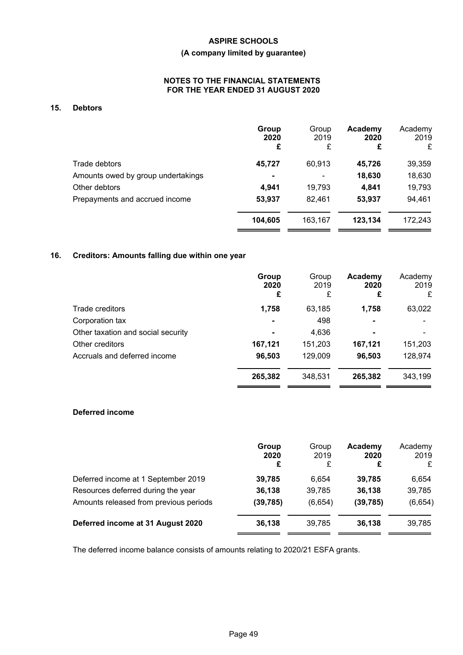# **(A company limited by guarantee)**

# **NOTES TO THE FINANCIAL STATEMENTS FOR THE YEAR ENDED 31 AUGUST 2020**

# **15. Debtors**

|                                    | Group<br>2020<br>£ | Group<br>2019<br>£ | Academy<br>2020<br>£ | Academy<br>2019<br>£ |
|------------------------------------|--------------------|--------------------|----------------------|----------------------|
| Trade debtors                      | 45,727             | 60,913             | 45,726               | 39,359               |
| Amounts owed by group undertakings |                    |                    | 18,630               | 18,630               |
| Other debtors                      | 4,941              | 19,793             | 4,841                | 19,793               |
| Prepayments and accrued income     | 53,937             | 82.461             | 53,937               | 94,461               |
|                                    | 104,605            | 163,167            | 123,134              | 172,243              |

# **16. Creditors: Amounts falling due within one year**

|                                    | Group<br>2020<br>£ | Group<br>2019<br>£ | Academy<br>2020<br>£ | Academy<br>2019<br>£ |
|------------------------------------|--------------------|--------------------|----------------------|----------------------|
| Trade creditors                    | 1,758              | 63,185             | 1,758                | 63,022               |
| Corporation tax                    |                    | 498                | ۰                    |                      |
| Other taxation and social security |                    | 4,636              | $\blacksquare$       |                      |
| Other creditors                    | 167,121            | 151,203            | 167,121              | 151,203              |
| Accruals and deferred income       | 96,503             | 129,009            | 96,503               | 128,974              |
|                                    | 265,382            | 348,531            | 265,382              | 343,199              |

# **Deferred income**

|                                        | Group<br>2020<br>£ | Group<br>2019<br>£ | Academy<br>2020<br>£ | Academy<br>2019<br>£ |
|----------------------------------------|--------------------|--------------------|----------------------|----------------------|
| Deferred income at 1 September 2019    | 39,785             | 6.654              | 39,785               | 6,654                |
| Resources deferred during the year     | 36,138             | 39,785             | 36,138               | 39,785               |
| Amounts released from previous periods | (39, 785)          | (6,654)            | (39, 785)            | (6,654)              |
| Deferred income at 31 August 2020      | 36,138             | 39,785             | 36,138               | 39,785               |

The deferred income balance consists of amounts relating to 2020/21 ESFA grants.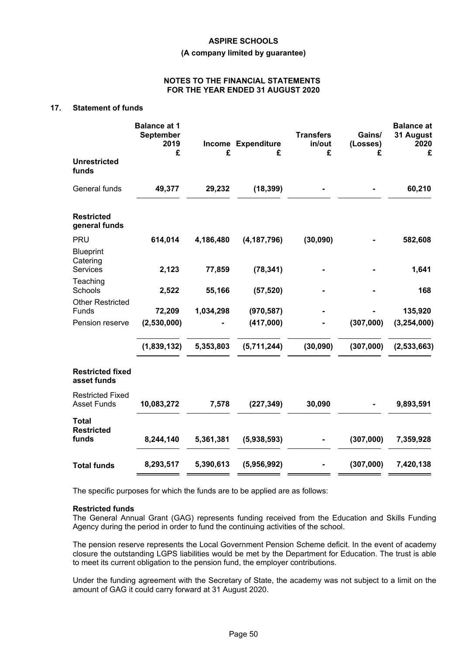#### **(A company limited by guarantee)**

#### **NOTES TO THE FINANCIAL STATEMENTS FOR THE YEAR ENDED 31 AUGUST 2020**

# **17. Statement of funds**

|                                                 | <b>Balance at 1</b><br><b>September</b><br>2019<br>£ | £         | Income Expenditure<br>£ | <b>Transfers</b><br>in/out<br>£ | Gains/<br>(Losses)<br>£ | <b>Balance at</b><br>31 August<br>2020<br>£ |
|-------------------------------------------------|------------------------------------------------------|-----------|-------------------------|---------------------------------|-------------------------|---------------------------------------------|
| <b>Unrestricted</b><br>funds                    |                                                      |           |                         |                                 |                         |                                             |
| General funds                                   | 49,377                                               | 29,232    | (18, 399)               |                                 |                         | 60,210                                      |
| <b>Restricted</b><br>general funds              |                                                      |           |                         |                                 |                         |                                             |
| PRU                                             | 614,014                                              | 4,186,480 | (4, 187, 796)           | (30,090)                        |                         | 582,608                                     |
| <b>Blueprint</b><br>Catering<br><b>Services</b> | 2,123                                                | 77,859    | (78, 341)               |                                 |                         | 1,641                                       |
| Teaching<br>Schools                             | 2,522                                                | 55,166    | (57, 520)               |                                 |                         | 168                                         |
| <b>Other Restricted</b><br>Funds                | 72,209                                               | 1,034,298 | (970, 587)              |                                 |                         | 135,920                                     |
| Pension reserve                                 | (2,530,000)                                          |           | (417,000)               |                                 | (307,000)               | (3, 254, 000)                               |
|                                                 | (1,839,132)                                          | 5,353,803 | (5,711,244)             | (30, 090)                       | (307,000)               | (2,533,663)                                 |
| <b>Restricted fixed</b><br>asset funds          |                                                      |           |                         |                                 |                         |                                             |
| <b>Restricted Fixed</b><br><b>Asset Funds</b>   | 10,083,272                                           | 7,578     | (227, 349)              | 30,090                          |                         | 9,893,591                                   |
| <b>Total</b><br><b>Restricted</b>               |                                                      |           |                         |                                 |                         |                                             |
| funds                                           | 8,244,140                                            | 5,361,381 | (5,938,593)             |                                 | (307,000)               | 7,359,928                                   |
| <b>Total funds</b>                              | 8,293,517                                            | 5,390,613 | (5,956,992)             |                                 | (307,000)               | 7,420,138                                   |

The specific purposes for which the funds are to be applied are as follows:

#### **Restricted funds**

The General Annual Grant (GAG) represents funding received from the Education and Skills Funding Agency during the period in order to fund the continuing activities of the school.

The pension reserve represents the Local Government Pension Scheme deficit. In the event of academy closure the outstanding LGPS liabilities would be met by the Department for Education. The trust is able to meet its current obligation to the pension fund, the employer contributions.

Under the funding agreement with the Secretary of State, the academy was not subject to a limit on the amount of GAG it could carry forward at 31 August 2020.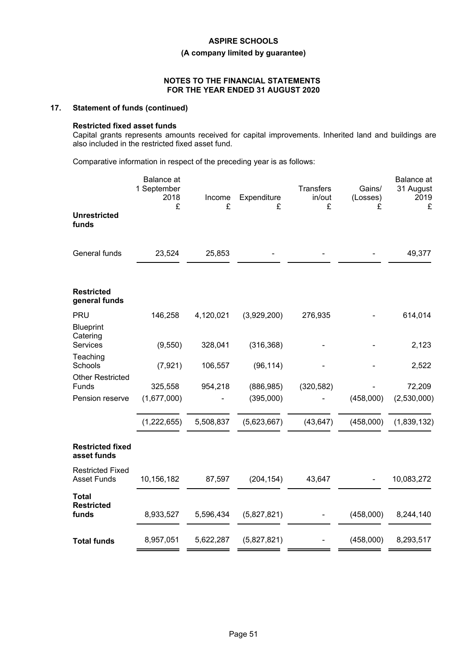**(A company limited by guarantee)**

#### **NOTES TO THE FINANCIAL STATEMENTS FOR THE YEAR ENDED 31 AUGUST 2020**

# **17. Statement of funds (continued)**

#### **Restricted fixed asset funds**

Capital grants represents amounts received for capital improvements. Inherited land and buildings are also included in the restricted fixed asset fund.

Comparative information in respect of the preceding year is as follows:

|                                               | Balance at<br>1 September<br>2018<br>£ | Income<br>£ | Expenditure<br>£ | <b>Transfers</b><br>in/out<br>£ | Gains/<br>(Losses)<br>£ | Balance at<br>31 August<br>2019<br>£ |
|-----------------------------------------------|----------------------------------------|-------------|------------------|---------------------------------|-------------------------|--------------------------------------|
| <b>Unrestricted</b><br>funds                  |                                        |             |                  |                                 |                         |                                      |
| General funds                                 | 23,524                                 | 25,853      |                  |                                 |                         | 49,377                               |
| <b>Restricted</b><br>general funds            |                                        |             |                  |                                 |                         |                                      |
| <b>PRU</b><br><b>Blueprint</b><br>Catering    | 146,258                                | 4,120,021   | (3,929,200)      | 276,935                         |                         | 614,014                              |
| Services                                      | (9, 550)                               | 328,041     | (316, 368)       |                                 |                         | 2,123                                |
| Teaching<br>Schools                           | (7, 921)                               | 106,557     | (96, 114)        |                                 |                         | 2,522                                |
| <b>Other Restricted</b><br>Funds              | 325,558                                | 954,218     | (886, 985)       | (320, 582)                      |                         | 72,209                               |
| Pension reserve                               | (1,677,000)                            |             | (395,000)        |                                 | (458,000)               | (2,530,000)                          |
|                                               | (1,222,655)                            | 5,508,837   | (5,623,667)      | (43, 647)                       | (458,000)               | (1,839,132)                          |
| <b>Restricted fixed</b><br>asset funds        |                                        |             |                  |                                 |                         |                                      |
| <b>Restricted Fixed</b><br><b>Asset Funds</b> | 10,156,182                             | 87,597      | (204, 154)       | 43,647                          |                         | 10,083,272                           |
| <b>Total</b><br><b>Restricted</b><br>funds    | 8,933,527                              | 5,596,434   | (5,827,821)      |                                 | (458,000)               | 8,244,140                            |
| <b>Total funds</b>                            | 8,957,051                              | 5,622,287   | (5,827,821)      |                                 | (458,000)               | 8,293,517                            |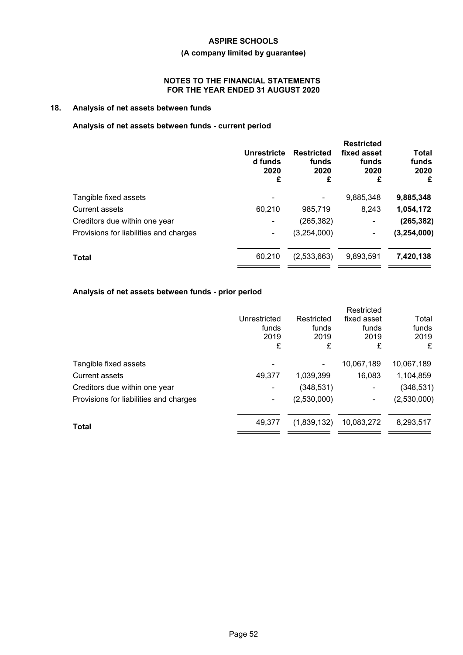# **(A company limited by guarantee)**

# **NOTES TO THE FINANCIAL STATEMENTS FOR THE YEAR ENDED 31 AUGUST 2020**

# **18. Analysis of net assets between funds**

# **Analysis of net assets between funds - current period**

|                                        | Unrestricte<br>d funds<br>2020<br>£ | <b>Restricted</b><br>funds<br>2020<br>£ | <b>Restricted</b><br>fixed asset<br>funds<br>2020<br>£ | <b>Total</b><br>funds<br>2020<br>£ |
|----------------------------------------|-------------------------------------|-----------------------------------------|--------------------------------------------------------|------------------------------------|
| Tangible fixed assets                  |                                     |                                         | 9,885,348                                              | 9,885,348                          |
| Current assets                         | 60,210                              | 985,719                                 | 8,243                                                  | 1,054,172                          |
| Creditors due within one year          |                                     | (265,382)                               |                                                        | (265, 382)                         |
| Provisions for liabilities and charges | ۰.                                  | (3,254,000)                             |                                                        | (3, 254, 000)                      |
| <b>Total</b>                           | 60,210                              | (2,533,663)                             | 9,893,591                                              | 7,420,138                          |

# **Analysis of net assets between funds - prior period**

|                                        |              |             | Restricted  |             |
|----------------------------------------|--------------|-------------|-------------|-------------|
|                                        | Unrestricted | Restricted  | fixed asset | Total       |
|                                        | funds        | funds       | funds       | funds       |
|                                        | 2019         | 2019        | 2019        | 2019        |
|                                        | £            | £           | £           | £           |
| Tangible fixed assets                  |              |             | 10,067,189  | 10,067,189  |
| <b>Current assets</b>                  | 49,377       | 1,039,399   | 16,083      | 1,104,859   |
| Creditors due within one year          |              | (348, 531)  | ٠           | (348, 531)  |
| Provisions for liabilities and charges | ۰            | (2,530,000) | ۰           | (2,530,000) |
|                                        | 49,377       | (1,839,132) | 10,083,272  | 8,293,517   |
| Total                                  |              |             |             |             |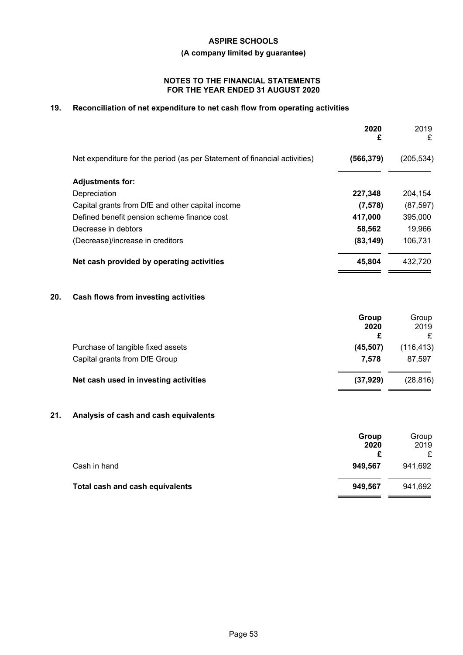**(A company limited by guarantee)**

### **NOTES TO THE FINANCIAL STATEMENTS FOR THE YEAR ENDED 31 AUGUST 2020**

# **19. Reconciliation of net expenditure to net cash flow from operating activities**

|                                                                           | 2020<br>£  | 2019<br>£  |
|---------------------------------------------------------------------------|------------|------------|
| Net expenditure for the period (as per Statement of financial activities) | (566, 379) | (205, 534) |
| <b>Adjustments for:</b>                                                   |            |            |
| Depreciation                                                              | 227,348    | 204.154    |
| Capital grants from DfE and other capital income                          | (7, 578)   | (87, 597)  |
| Defined benefit pension scheme finance cost                               | 417,000    | 395,000    |
| Decrease in debtors                                                       | 58,562     | 19,966     |
| (Decrease)/increase in creditors                                          | (83, 149)  | 106,731    |
| Net cash provided by operating activities                                 | 45,804     | 432,720    |

# **20. Cash flows from investing activities**

|                                                                    | Group<br>2020<br>£ | Group<br>2019        |
|--------------------------------------------------------------------|--------------------|----------------------|
| Purchase of tangible fixed assets<br>Capital grants from DfE Group | (45, 507)<br>7.578 | (116, 413)<br>87.597 |
| Net cash used in investing activities                              | (37, 929)          | (28, 816)            |

# **21. Analysis of cash and cash equivalents**

|                                 | Group   | Group   |
|---------------------------------|---------|---------|
|                                 | 2020    | 2019    |
|                                 |         |         |
| Cash in hand                    | 949.567 | 941,692 |
| Total cash and cash equivalents | 949,567 | 941,692 |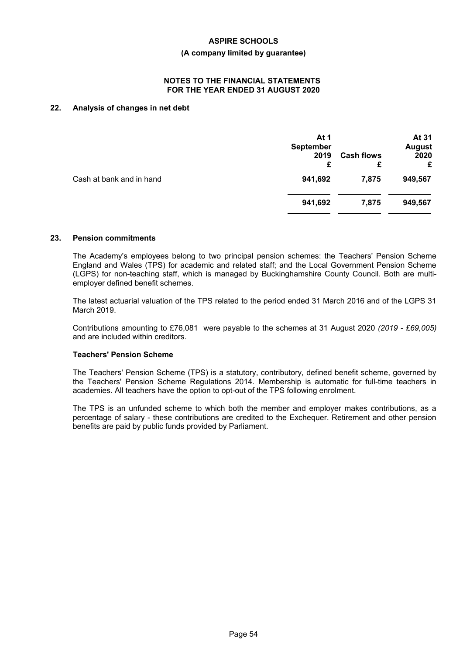#### **(A company limited by guarantee)**

#### **NOTES TO THE FINANCIAL STATEMENTS FOR THE YEAR ENDED 31 AUGUST 2020**

# **22. Analysis of changes in net debt**

|                          | At 1<br><b>September</b><br>2019<br>£ | <b>Cash flows</b><br>£ | At 31<br><b>August</b><br>2020<br>£ |
|--------------------------|---------------------------------------|------------------------|-------------------------------------|
| Cash at bank and in hand | 941,692                               | 7,875                  | 949,567                             |
|                          | 941,692                               | 7,875                  | 949,567                             |
|                          |                                       |                        |                                     |

#### **23. Pension commitments**

The Academy's employees belong to two principal pension schemes: the Teachers' Pension Scheme England and Wales (TPS) for academic and related staff; and the Local Government Pension Scheme (LGPS) for non-teaching staff, which is managed by Buckinghamshire County Council. Both are multiemployer defined benefit schemes.

The latest actuarial valuation of the TPS related to the period ended 31 March 2016 and of the LGPS 31 March 2019.

Contributions amounting to £76,081 were payable to the schemes at 31 August 2020 *(2019 - £69,005)* and are included within creditors.

#### **Teachers' Pension Scheme**

The Teachers' Pension Scheme (TPS) is a statutory, contributory, defined benefit scheme, governed by the Teachers' Pension Scheme Regulations 2014. Membership is automatic for full-time teachers in academies. All teachers have the option to opt-out of the TPS following enrolment.

The TPS is an unfunded scheme to which both the member and employer makes contributions, as a percentage of salary - these contributions are credited to the Exchequer. Retirement and other pension benefits are paid by public funds provided by Parliament.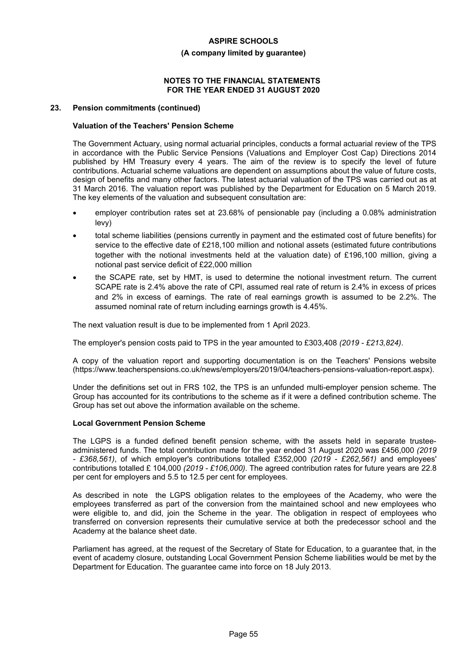#### **(A company limited by guarantee)**

#### **NOTES TO THE FINANCIAL STATEMENTS FOR THE YEAR ENDED 31 AUGUST 2020**

#### **23. Pension commitments (continued)**

#### **Valuation of the Teachers' Pension Scheme**

The Government Actuary, using normal actuarial principles, conducts a formal actuarial review of the TPS in accordance with the Public Service Pensions (Valuations and Employer Cost Cap) Directions 2014 published by HM Treasury every 4 years. The aim of the review is to specify the level of future contributions. Actuarial scheme valuations are dependent on assumptions about the value of future costs, design of benefits and many other factors. The latest actuarial valuation of the TPS was carried out as at 31 March 2016. The valuation report was published by the Department for Education on 5 March 2019. The key elements of the valuation and subsequent consultation are:

- employer contribution rates set at 23.68% of pensionable pay (including a 0.08% administration levy)
- total scheme liabilities (pensions currently in payment and the estimated cost of future benefits) for service to the effective date of £218,100 million and notional assets (estimated future contributions together with the notional investments held at the valuation date) of £196,100 million, giving a notional past service deficit of £22,000 million
- the SCAPE rate, set by HMT, is used to determine the notional investment return. The current SCAPE rate is 2.4% above the rate of CPI, assumed real rate of return is 2.4% in excess of prices and 2% in excess of earnings. The rate of real earnings growth is assumed to be 2.2%. The assumed nominal rate of return including earnings growth is 4.45%.

The next valuation result is due to be implemented from 1 April 2023.

The employer's pension costs paid to TPS in the year amounted to £303,408 *(2019 - £213,824)*.

A copy of the valuation report and supporting documentation is on the Teachers' Pensions website (https://www.teacherspensions.co.uk/news/employers/2019/04/teachers-pensions-valuation-report.aspx).

Under the definitions set out in FRS 102, the TPS is an unfunded multi-employer pension scheme. The Group has accounted for its contributions to the scheme as if it were a defined contribution scheme. The Group has set out above the information available on the scheme.

#### **Local Government Pension Scheme**

The LGPS is a funded defined benefit pension scheme, with the assets held in separate trusteeadministered funds. The total contribution made for the year ended 31 August 2020 was £456,000 *(2019 - £368,561)*, of which employer's contributions totalled £352,000 *(2019 - £262,561)* and employees' contributions totalled £ 104,000 *(2019 - £106,000)*. The agreed contribution rates for future years are 22.8 per cent for employers and 5.5 to 12.5 per cent for employees.

As described in note the LGPS obligation relates to the employees of the Academy, who were the employees transferred as part of the conversion from the maintained school and new employees who were eligible to, and did, join the Scheme in the year. The obligation in respect of employees who transferred on conversion represents their cumulative service at both the predecessor school and the Academy at the balance sheet date.

Parliament has agreed, at the request of the Secretary of State for Education, to a guarantee that, in the event of academy closure, outstanding Local Government Pension Scheme liabilities would be met by the Department for Education. The guarantee came into force on 18 July 2013.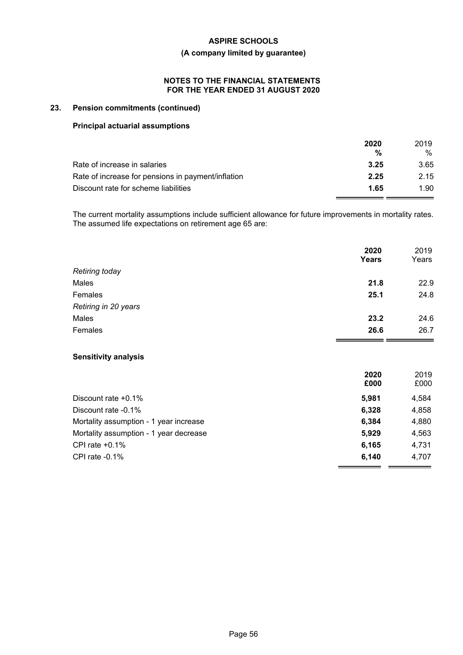# **(A company limited by guarantee)**

# **NOTES TO THE FINANCIAL STATEMENTS FOR THE YEAR ENDED 31 AUGUST 2020**

# **23. Pension commitments (continued)**

### **Principal actuarial assumptions**

|                                                    | 2020<br>% | 2019<br>% |
|----------------------------------------------------|-----------|-----------|
| Rate of increase in salaries                       | 3.25      | 3.65      |
| Rate of increase for pensions in payment/inflation | 2.25      | 2.15      |
| Discount rate for scheme liabilities               | 1.65      | 1.90      |

The current mortality assumptions include sufficient allowance for future improvements in mortality rates. The assumed life expectations on retirement age 65 are:

|                                        | 2020<br><b>Years</b> | 2019<br>Years |
|----------------------------------------|----------------------|---------------|
| <b>Retiring today</b>                  |                      |               |
| Males                                  | 21.8                 | 22.9          |
| Females                                | 25.1                 | 24.8          |
| Retiring in 20 years                   |                      |               |
| Males                                  | 23.2                 | 24.6          |
| Females                                | 26.6                 | 26.7          |
| <b>Sensitivity analysis</b>            |                      |               |
|                                        | 2020<br>£000         | 2019<br>£000  |
| Discount rate +0.1%                    | 5,981                | 4,584         |
| Discount rate -0.1%                    | 6,328                | 4,858         |
| Mortality assumption - 1 year increase | 6,384                | 4,880         |
| Mortality assumption - 1 year decrease | 5,929                | 4,563         |
| CPI rate $+0.1\%$                      | 6,165                | 4,731         |
| CPI rate $-0.1%$                       | 6,140                | 4,707         |
|                                        |                      |               |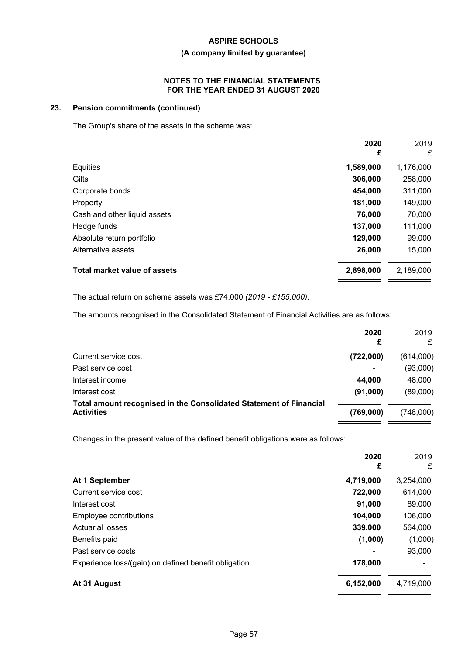# **(A company limited by guarantee)**

#### **NOTES TO THE FINANCIAL STATEMENTS FOR THE YEAR ENDED 31 AUGUST 2020**

# **23. Pension commitments (continued)**

The Group's share of the assets in the scheme was:

|                              | 2020<br>£ | 2019<br>£ |
|------------------------------|-----------|-----------|
| Equities                     | 1,589,000 | 1,176,000 |
| Gilts                        | 306,000   | 258,000   |
| Corporate bonds              | 454,000   | 311,000   |
| Property                     | 181,000   | 149,000   |
| Cash and other liquid assets | 76,000    | 70,000    |
| Hedge funds                  | 137,000   | 111,000   |
| Absolute return portfolio    | 129,000   | 99,000    |
| Alternative assets           | 26,000    | 15,000    |
| Total market value of assets | 2,898,000 | 2,189,000 |

The actual return on scheme assets was £74,000 *(2019 - £155,000)*.

The amounts recognised in the Consolidated Statement of Financial Activities are as follows:

|                                                                                         | 2020<br>£      | 2019<br>£ |
|-----------------------------------------------------------------------------------------|----------------|-----------|
| Current service cost                                                                    | (722,000)      | (614,000) |
| Past service cost                                                                       | $\blacksquare$ | (93,000)  |
| Interest income                                                                         | 44.000         | 48,000    |
| Interest cost                                                                           | (91,000)       | (89,000)  |
| Total amount recognised in the Consolidated Statement of Financial<br><b>Activities</b> | (769,000)      | (748,000) |

Changes in the present value of the defined benefit obligations were as follows:

|                                                      | 2020<br>£ | 2019<br>£ |
|------------------------------------------------------|-----------|-----------|
| At 1 September                                       | 4,719,000 | 3,254,000 |
| Current service cost                                 | 722,000   | 614,000   |
| Interest cost                                        | 91,000    | 89,000    |
| Employee contributions                               | 104,000   | 106,000   |
| <b>Actuarial losses</b>                              | 339,000   | 564,000   |
| Benefits paid                                        | (1,000)   | (1,000)   |
| Past service costs                                   |           | 93,000    |
| Experience loss/(gain) on defined benefit obligation | 178,000   |           |
| At 31 August                                         | 6,152,000 | 4,719,000 |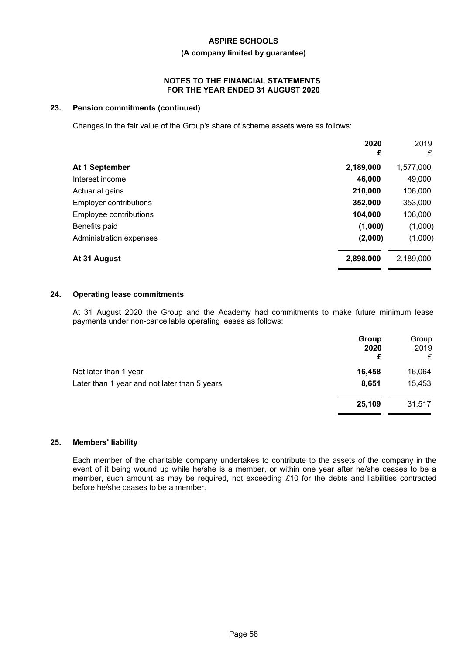### **(A company limited by guarantee)**

#### **NOTES TO THE FINANCIAL STATEMENTS FOR THE YEAR ENDED 31 AUGUST 2020**

# **23. Pension commitments (continued)**

Changes in the fair value of the Group's share of scheme assets were as follows:

| 2020<br>£ | 2019<br>£ |
|-----------|-----------|
| 2,189,000 | 1,577,000 |
| 46,000    | 49,000    |
| 210,000   | 106,000   |
| 352,000   | 353,000   |
| 104,000   | 106,000   |
| (1,000)   | (1,000)   |
| (2,000)   | (1,000)   |
| 2,898,000 | 2,189,000 |
|           |           |

### **24. Operating lease commitments**

At 31 August 2020 the Group and the Academy had commitments to make future minimum lease payments under non-cancellable operating leases as follows:

|                                              | Group<br>2020<br>£ | Group<br>2019<br>£ |
|----------------------------------------------|--------------------|--------------------|
| Not later than 1 year                        | 16,458             | 16,064             |
| Later than 1 year and not later than 5 years | 8,651              | 15,453             |
|                                              | 25,109             | 31,517             |

### **25. Members' liability**

Each member of the charitable company undertakes to contribute to the assets of the company in the event of it being wound up while he/she is a member, or within one year after he/she ceases to be a member, such amount as may be required, not exceeding *£*10 for the debts and liabilities contracted before he/she ceases to be a member.